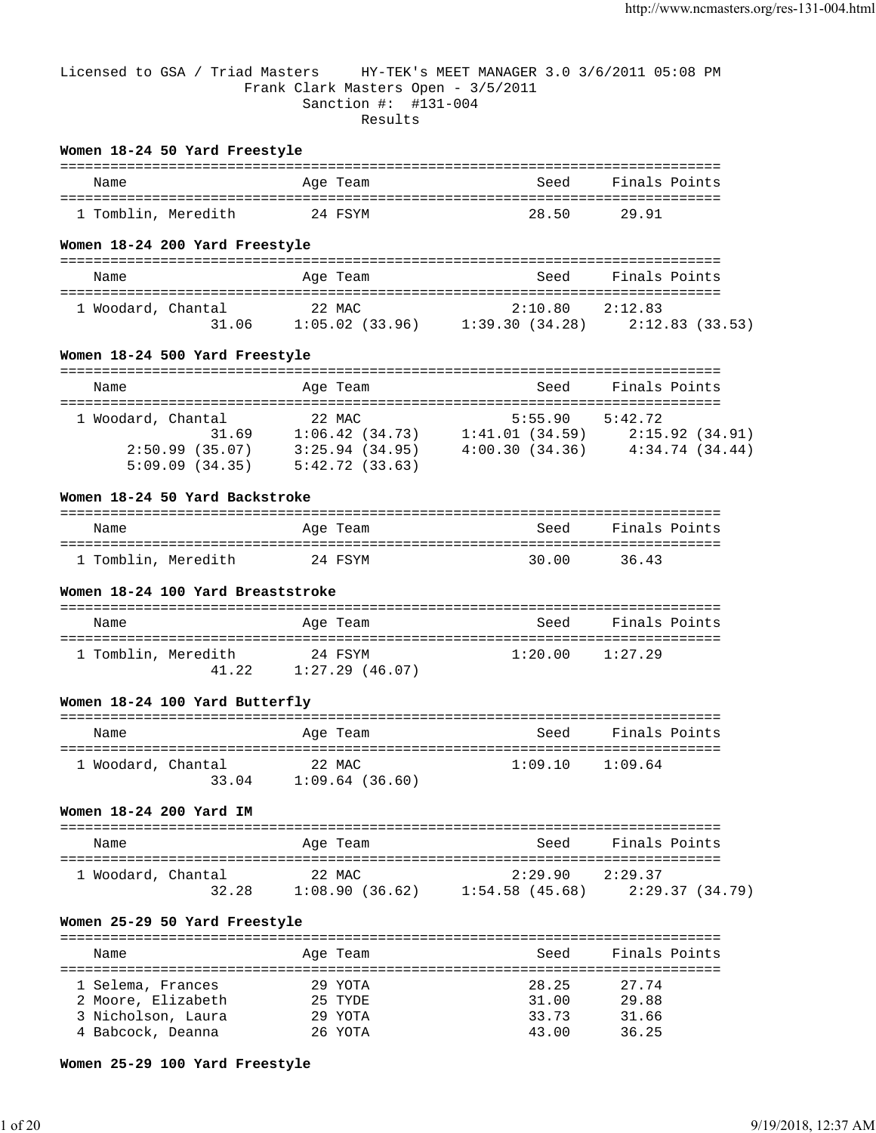#### Licensed to GSA / Triad Masters HY-TEK's MEET MANAGER 3.0 3/6/2011 05:08 PM Frank Clark Masters Open - 3/5/2011 Sanction #: #131-004 Results

#### **Women 18-24 50 Yard Freestyle**

| Name                | Age Team | Seed  | Finals Points |
|---------------------|----------|-------|---------------|
| 1 Tomblin, Meredith | 24 FSYM  | 28.50 | 29.91         |

#### **Women 18-24 200 Yard Freestyle**

| Name               |       | Age Team          | Seed           | Finals Points   |
|--------------------|-------|-------------------|----------------|-----------------|
| 1 Woodard, Chantal |       | 22 MAC            | 2:10.80        | 2:12.83         |
|                    | 31.06 | $1:05.02$ (33.96) | 1:39.30(34.28) | 2:12.83 (33.53) |

#### **Women 18-24 500 Yard Freestyle**

| Name                                                   |       | Age Team |                                                    |                                  | Seed    | Finals Points                               |  |
|--------------------------------------------------------|-------|----------|----------------------------------------------------|----------------------------------|---------|---------------------------------------------|--|
| 1 Woodard, Chantal<br>2:50.99(35.07)<br>5:09.09(34.35) | 31.69 | 22 MAC   | 1:06.42(34.73)<br>3:25.94(34.95)<br>5:42.72(33.63) | 1:41.01(34.59)<br>4:00.30(34.36) | 5:55.90 | 5:42.72<br>2:15.92(34.91)<br>4:34.74(34.44) |  |

#### **Women 18-24 50 Yard Backstroke**

| Name                | Age Team | Seed  | Finals Points |
|---------------------|----------|-------|---------------|
|                     |          |       |               |
| 1 Tomblin, Meredith | 24 FSYM  | 30.00 | 36.43         |

#### **Women 18-24 100 Yard Breaststroke**

| Name                |       | Age Team                     | Seed    | Finals Points |
|---------------------|-------|------------------------------|---------|---------------|
| 1 Tomblin, Meredith | 41 22 | 24 FSYM<br>$1:27.29$ (46.07) | 1:20.00 | 1:27.29       |

#### **Women 18-24 100 Yard Butterfly**

| Name               |       | Age Team                    | Seed    | Finals Points |
|--------------------|-------|-----------------------------|---------|---------------|
| 1 Woodard, Chantal | 33.04 | 22 MAC<br>$1:09.64$ (36.60) | 1:09.10 | 1:09.64       |

#### **Women 18-24 200 Yard IM**

| Name               | Age Team       | Seed                | Finals Points   |
|--------------------|----------------|---------------------|-----------------|
| 1 Woodard, Chantal | 22 MAC         | $2:29.90$ $2:29.37$ |                 |
| 32.28              | 1:08.90(36.62) | $1:54.58$ (45.68)   | 2:29.37 (34.79) |

### **Women 25-29 50 Yard Freestyle**

| Name                                                                               | Age Team                                 | Seed                             | Finals Points                    |
|------------------------------------------------------------------------------------|------------------------------------------|----------------------------------|----------------------------------|
| 1 Selema, Frances<br>2 Moore, Elizabeth<br>3 Nicholson, Laura<br>4 Babcock, Deanna | 29 YOTA<br>25 TYDE<br>29 YOTA<br>26 YOTA | 28.25<br>31.00<br>33.73<br>43.00 | 27.74<br>29.88<br>31.66<br>36.25 |

#### **Women 25-29 100 Yard Freestyle**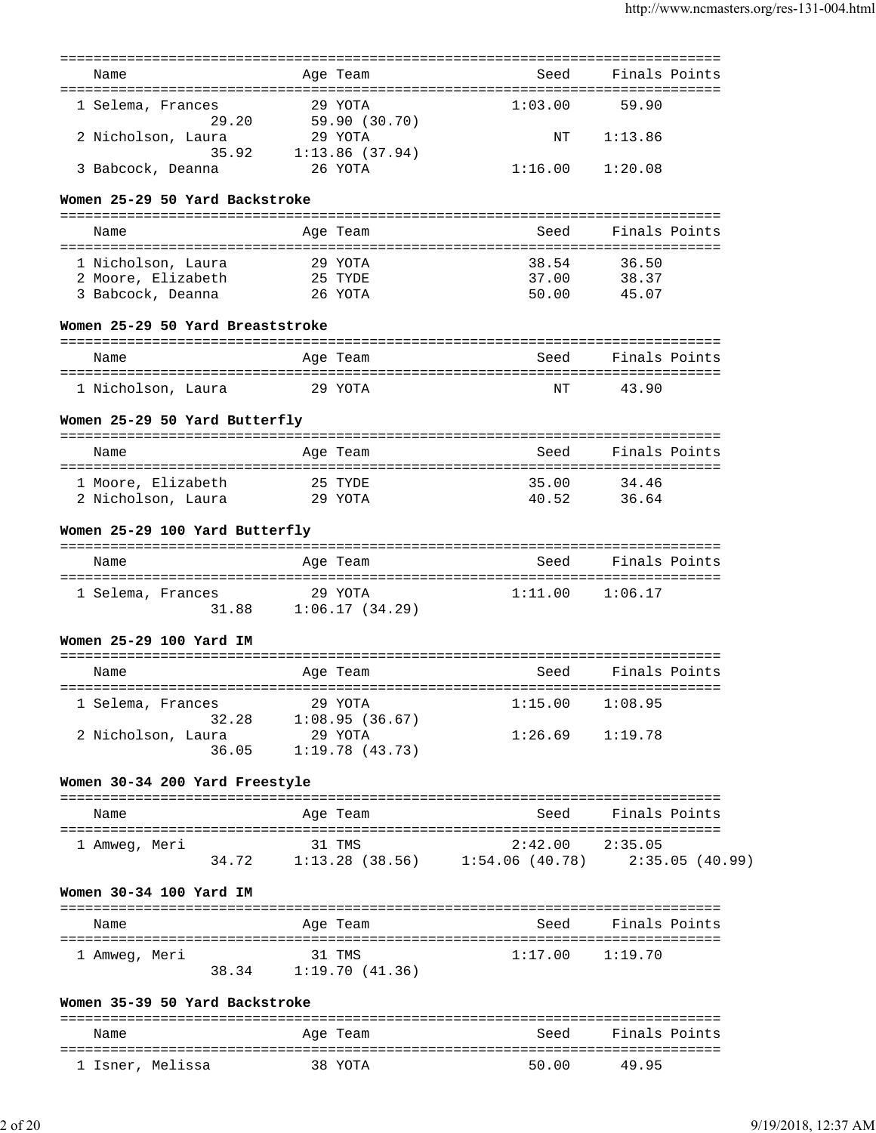|                                  |         | ==========            |                                                                   |                    |               |
|----------------------------------|---------|-----------------------|-------------------------------------------------------------------|--------------------|---------------|
| Name                             |         | Age Team              | Seed                                                              |                    | Finals Points |
| 1 Selema, Frances                |         | 29 YOTA               | 1:03.00                                                           | 59.90              |               |
| 29.20                            |         | 59.90 (30.70)         |                                                                   |                    |               |
| 2 Nicholson, Laura               |         | 29 YOTA               | ΝT                                                                | 1:13.86            |               |
| 35.92                            |         | 1:13.86(37.94)        |                                                                   |                    |               |
| 3 Babcock, Deanna                | 26 YOTA |                       | 1:16.00                                                           | 1:20.08            |               |
| Women 25-29 50 Yard Backstroke   |         |                       |                                                                   |                    |               |
|                                  |         |                       |                                                                   |                    |               |
| Name                             |         | Age Team              | Seed                                                              |                    | Finals Points |
| 1 Nicholson, Laura               |         | 29 YOTA               | 38.54                                                             | 36.50              |               |
| 2 Moore, Elizabeth               | 25 TYDE |                       | 37.00                                                             | 38.37              |               |
| 3 Babcock, Deanna                | 26 YOTA |                       | 50.00                                                             | 45.07              |               |
| Women 25-29 50 Yard Breaststroke |         |                       |                                                                   |                    |               |
|                                  |         |                       |                                                                   |                    |               |
| Name                             |         | Age Team              | Seed                                                              |                    | Finals Points |
| 1 Nicholson, Laura               |         | 29 YOTA               | NΤ                                                                | 43.90              |               |
| Women 25-29 50 Yard Butterfly    |         |                       |                                                                   |                    |               |
| Name                             |         | Age Team              | Seed                                                              |                    | Finals Points |
|                                  |         |                       |                                                                   |                    |               |
| 1 Moore, Elizabeth               |         | 25 TYDE               | 35.00                                                             | 34.46              |               |
| 2 Nicholson, Laura               |         | 29 YOTA               | 40.52                                                             | 36.64              |               |
| Women 25-29 100 Yard Butterfly   |         |                       |                                                                   |                    |               |
| Name                             |         | Age Team              | Seed                                                              |                    | Finals Points |
|                                  |         |                       |                                                                   |                    |               |
| 1 Selema, Frances                |         | 29 YOTA               | 1:11.00                                                           | 1:06.17            |               |
| 31.88                            |         | 1:06.17(34.29)        |                                                                   |                    |               |
| Women 25-29 100 Yard IM          |         |                       |                                                                   |                    |               |
|                                  |         |                       |                                                                   |                    |               |
| Name                             |         | Age Team              | Seed                                                              |                    | Finals Points |
| 1 Selema, Frances                |         | 29 YOTA               | 1:15.00                                                           | 1:08.95            |               |
|                                  |         | 32.28 1:08.95 (36.67) |                                                                   |                    |               |
| 2 Nicholson, Laura               | 29 YOTA |                       | $1:26.69$ $1:19.78$                                               |                    |               |
| 36.05                            |         | 1:19.78(43.73)        |                                                                   |                    |               |
| Women 30-34 200 Yard Freestyle   |         |                       |                                                                   |                    |               |
|                                  |         |                       |                                                                   |                    |               |
| Name                             |         | Age Team              | Seed                                                              |                    | Finals Points |
| 1 Amweg, Meri                    | 31 TMS  |                       | $2:42.00$ $2:35.05$                                               |                    |               |
|                                  |         |                       | 34.72   1:13.28   (38.56)   1:54.06   (40.78)   2:35.05   (40.99) |                    |               |
| Women 30-34 100 Yard IM          |         |                       |                                                                   |                    |               |
| Name                             |         | Age Team              |                                                                   | Seed Finals Points |               |
|                                  |         |                       |                                                                   |                    |               |
| 1 Amweg, Meri                    | 31 TMS  |                       | $1:17.00$ $1:19.70$                                               |                    |               |
|                                  |         | 38.34 1:19.70 (41.36) |                                                                   |                    |               |
|                                  |         |                       |                                                                   |                    |               |
| Women 35-39 50 Yard Backstroke   |         |                       |                                                                   |                    |               |
| Name                             |         | Age Team              | Seed                                                              |                    | Finals Points |
|                                  |         |                       |                                                                   |                    |               |

1 Isner, Melissa 38 YOTA 50.00 49.95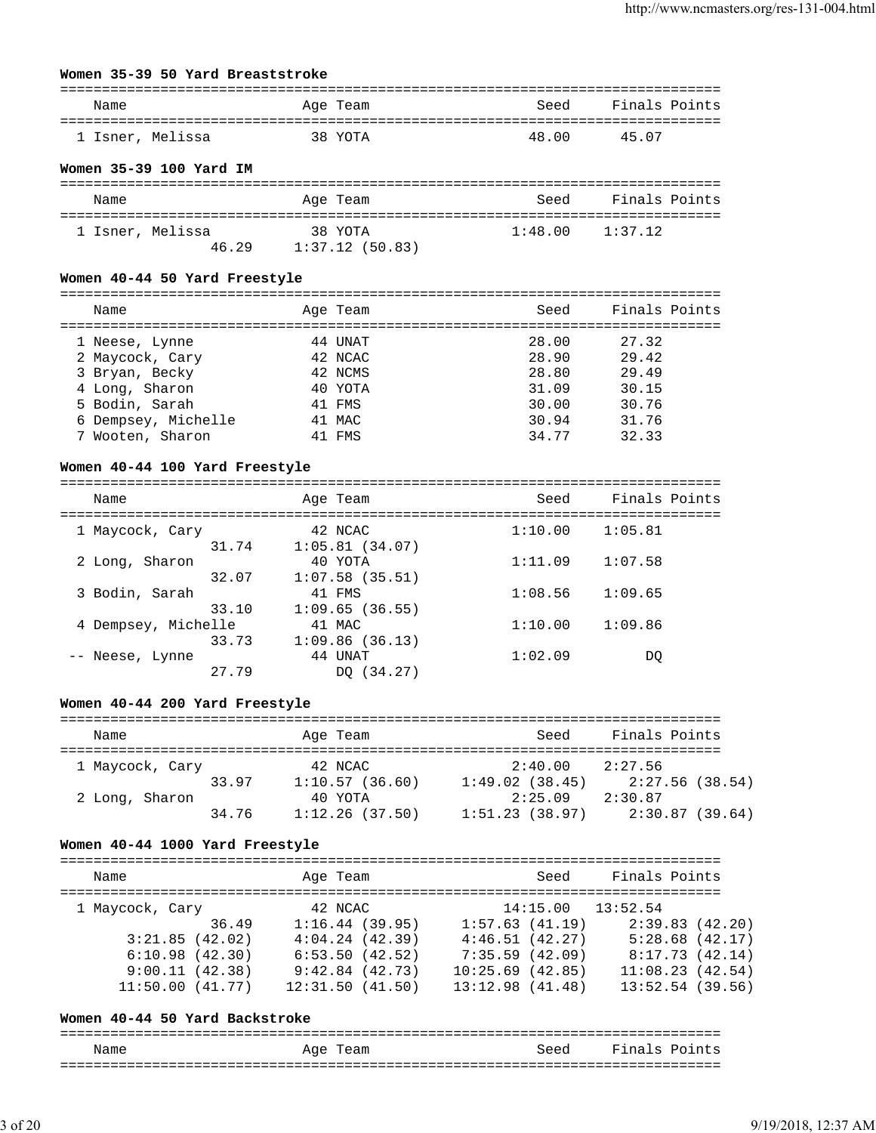# **Women 35-39 50 Yard Breaststroke**

| Name             | Age Team | Seed  | Finals Points |
|------------------|----------|-------|---------------|
| 1 Isner, Melissa | 38 YOTA  | 48.00 | 45 07         |

### **Women 35-39 100 Yard IM**

| Name             |       | Age Team                  | Seed                | Finals Points |
|------------------|-------|---------------------------|---------------------|---------------|
| 1 Isner, Melissa | 46.29 | 38 YOTA<br>1:37.12(50.83) | $1:48.00$ $1:37.12$ |               |

#### **Women 40-44 50 Yard Freestyle**

| Name                | Age Team | Seed  | Finals Points |
|---------------------|----------|-------|---------------|
| 1 Neese, Lynne      | 44 UNAT  | 28.00 | 27.32         |
| 2 Maycock, Cary     | 42 NCAC  | 28.90 | 29.42         |
| 3 Bryan, Becky      | 42 NCMS  | 28.80 | 29.49         |
| 4 Long, Sharon      | 40 YOTA  | 31.09 | 30.15         |
| 5 Bodin, Sarah      | 41 FMS   | 30.00 | 30.76         |
| 6 Dempsey, Michelle | 41 MAC   | 30.94 | 31.76         |
| 7 Wooten, Sharon    | 41 FMS   | 34.77 | 32.33         |

#### **Women 40-44 100 Yard Freestyle**

| Name                |       | Age Team          | Seed    | Finals Points |
|---------------------|-------|-------------------|---------|---------------|
| 1 Maycock, Cary     |       | 42 NCAC           | 1:10.00 | 1:05.81       |
|                     | 31.74 | 1:05.81(34.07)    |         |               |
| 2 Long, Sharon      |       | 40 YOTA           | 1:11.09 | 1:07.58       |
|                     | 32.07 | $1:07.58$ (35.51) |         |               |
| 3 Bodin, Sarah      |       | 41 FMS            | 1:08.56 | 1:09.65       |
|                     | 33.10 | 1:09.65(36.55)    |         |               |
| 4 Dempsey, Michelle |       | 41 MAC            | 1:10.00 | 1:09.86       |
|                     | 33.73 | 1:09.86(36.13)    |         |               |
| -- Neese, Lynne     |       | 44 UNAT           | 1:02.09 | DO            |
|                     | 27.79 | (34.27)<br>DO.    |         |               |

#### **Women 40-44 200 Yard Freestyle**

| Name            |       | Age Team                  | Seed                      | Finals Points             |
|-----------------|-------|---------------------------|---------------------------|---------------------------|
| 1 Maycock, Cary |       | 42 NCAC                   | 2:40.00                   | 2:27.56                   |
| 2 Long, Sharon  | 33.97 | 1:10.57(36.60)<br>40 YOTA | 1:49.02(38.45)<br>2:25.09 | 2:27.56(38.54)<br>2:30.87 |
|                 | 34.76 | 1:12.26(37.50)            | 1:51.23(38.97)            | 2:30.87(39.64)            |

#### **Women 40-44 1000 Yard Freestyle**

| Name            |       | Age Team        |                 | Seed | Finals Points         |                |  |
|-----------------|-------|-----------------|-----------------|------|-----------------------|----------------|--|
| 1 Maycock, Cary |       | 42 NCAC         |                 |      | $14:15.00$ $13:52.54$ |                |  |
|                 | 36.49 | 1:16.44(39.95)  | 1:57.63(41.19)  |      |                       | 2:39.83(42.20) |  |
| 3:21.85(42.02)  |       | 4:04.24(42.39)  | 4:46.51(42.27)  |      |                       | 5:28.68(42.17) |  |
| 6:10.98(42.30)  |       | 6:53.50(42.52)  | 7:35.59(42.09)  |      |                       | 8:17.73(42.14) |  |
| 9:00.11(42.38)  |       | 9:42.84(42.73)  | 10:25.69(42.85) |      | 11:08.23(42.54)       |                |  |
| 11:50.00(41.77) |       | 12:31.50(41.50) | 13:12.98(41.48) |      | 13:52.54(39.56)       |                |  |
|                 |       |                 |                 |      |                       |                |  |

#### **Women 40-44 50 Yard Backstroke**

=============================================================================== Name and Age Team Seed Finals Points ===============================================================================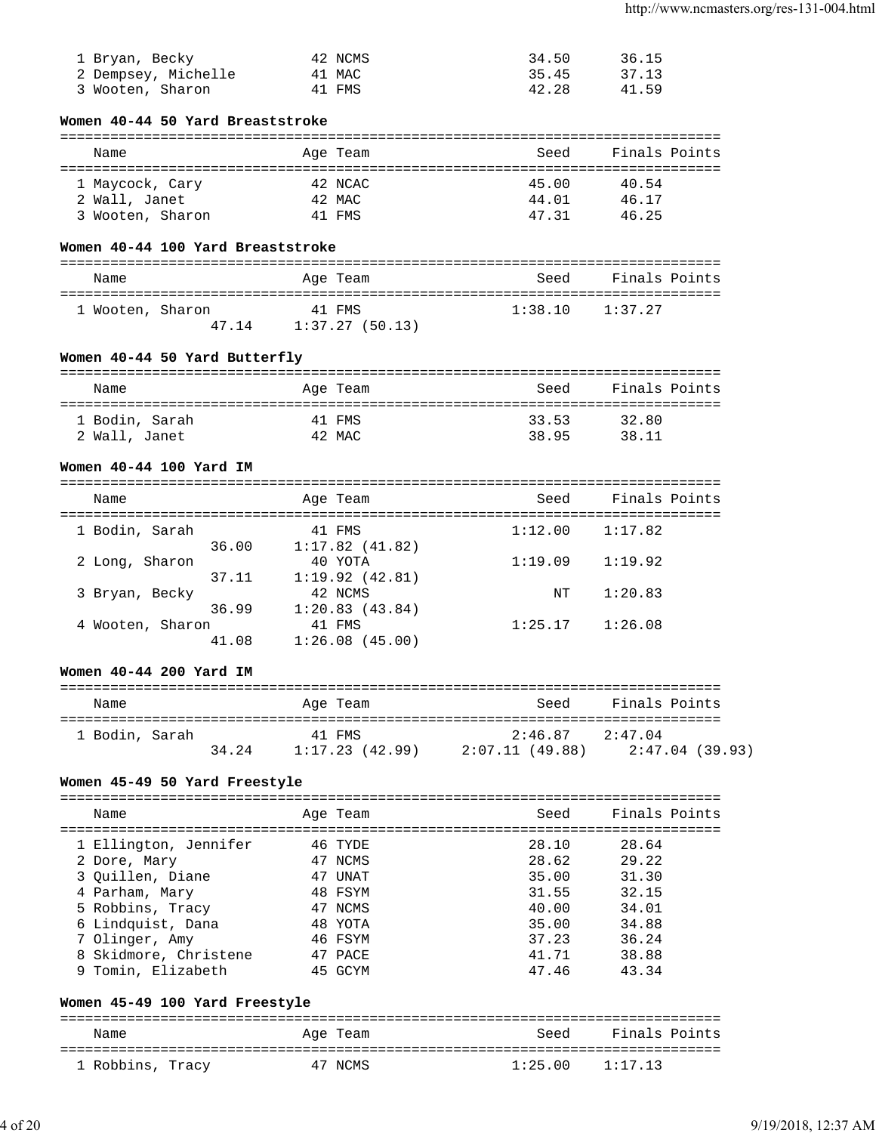| 1 Bryan, Becky      | 42 NCMS | 34.50 | 36.15 |
|---------------------|---------|-------|-------|
| 2 Dempsey, Michelle | 41 MAC  | 35.45 | 37.13 |
| 3 Wooten, Sharon    | 41 FMS  | 42.28 | 41.59 |

# **Women 40-44 50 Yard Breaststroke**

| Name             | Age Team | Seed  | Finals Points |
|------------------|----------|-------|---------------|
| 1 Maycock, Cary  | 42 NCAC  | 45.00 | 40.54         |
| 2 Wall, Janet    | 42 MAC   | 44.01 | 46.17         |
| 3 Wooten, Sharon | 41 FMS   | 47 31 | 46.25         |

# **Women 40-44 100 Yard Breaststroke**

| Name             |       | Age Team                 | Seed    | Finals Points |
|------------------|-------|--------------------------|---------|---------------|
| 1 Wooten, Sharon | 47 14 | 41 FMS<br>1:37.27(50.13) | 1:38.10 | 1:37.27       |

# **Women 40-44 50 Yard Butterfly**

| Name           | Age Team | Seed  | Finals Points |
|----------------|----------|-------|---------------|
| 1 Bodin, Sarah | 41 FMS   | 33.53 | 32.80         |
| 2 Wall, Janet  | 42 MAC   | 38.95 | 38.11         |

## **Women 40-44 100 Yard IM**

| Name             |       | Age Team       | Seed    | Finals Points |
|------------------|-------|----------------|---------|---------------|
| 1 Bodin, Sarah   |       | 41 FMS         | 1:12.00 | 1:17.82       |
|                  | 36.00 | 1:17.82(41.82) |         |               |
| 2 Long, Sharon   |       | 40 YOTA        | 1:19.09 | 1:19.92       |
|                  | 37.11 | 1:19.92(42.81) |         |               |
| 3 Bryan, Becky   |       | 42 NCMS        | NT      | 1:20.83       |
|                  | 36.99 | 1:20.83(43.84) |         |               |
| 4 Wooten, Sharon |       | 41 FMS         | 1:25.17 | 1:26.08       |
|                  | 41.08 | 1:26.08(45.00) |         |               |

# **Women 40-44 200 Yard IM**

| Name           |       | Age Team       | Seed                | Finals Points   |
|----------------|-------|----------------|---------------------|-----------------|
| 1 Bodin, Sarah |       | 41 FMS         | $2:46.87$ $2:47.04$ |                 |
|                | 34.24 | 1:17.23(42.99) | 2:07.11 (49.88)     | 2:47.04 (39.93) |

# **Women 45-49 50 Yard Freestyle**

| Name                                                                                                                                                            | Age Team                                                                             | Seed                                                                 | Finals Points                                                        |
|-----------------------------------------------------------------------------------------------------------------------------------------------------------------|--------------------------------------------------------------------------------------|----------------------------------------------------------------------|----------------------------------------------------------------------|
| 1 Ellington, Jennifer<br>2 Dore, Mary<br>3 Quillen, Diane<br>4 Parham, Mary<br>5 Robbins, Tracy<br>6 Lindquist, Dana<br>7 Olinger, Amy<br>8 Skidmore, Christene | 46 TYDE<br>47 NCMS<br>47 UNAT<br>48 FSYM<br>47 NCMS<br>48 YOTA<br>46 FSYM<br>47 PACE | 28.10<br>28.62<br>35.00<br>31.55<br>40.00<br>35.00<br>37.23<br>41.71 | 28.64<br>29.22<br>31.30<br>32.15<br>34.01<br>34.88<br>36.24<br>38.88 |
| 9 Tomin, Elizabeth                                                                                                                                              | 45 GCYM                                                                              | 47.46                                                                | 43.34                                                                |

# **Women 45-49 100 Yard Freestyle**

| Name             | Age Team | Seed                | Finals Points |
|------------------|----------|---------------------|---------------|
| 1 Robbins, Tracy | 47 NCMS  | $1:25.00$ $1:17.13$ |               |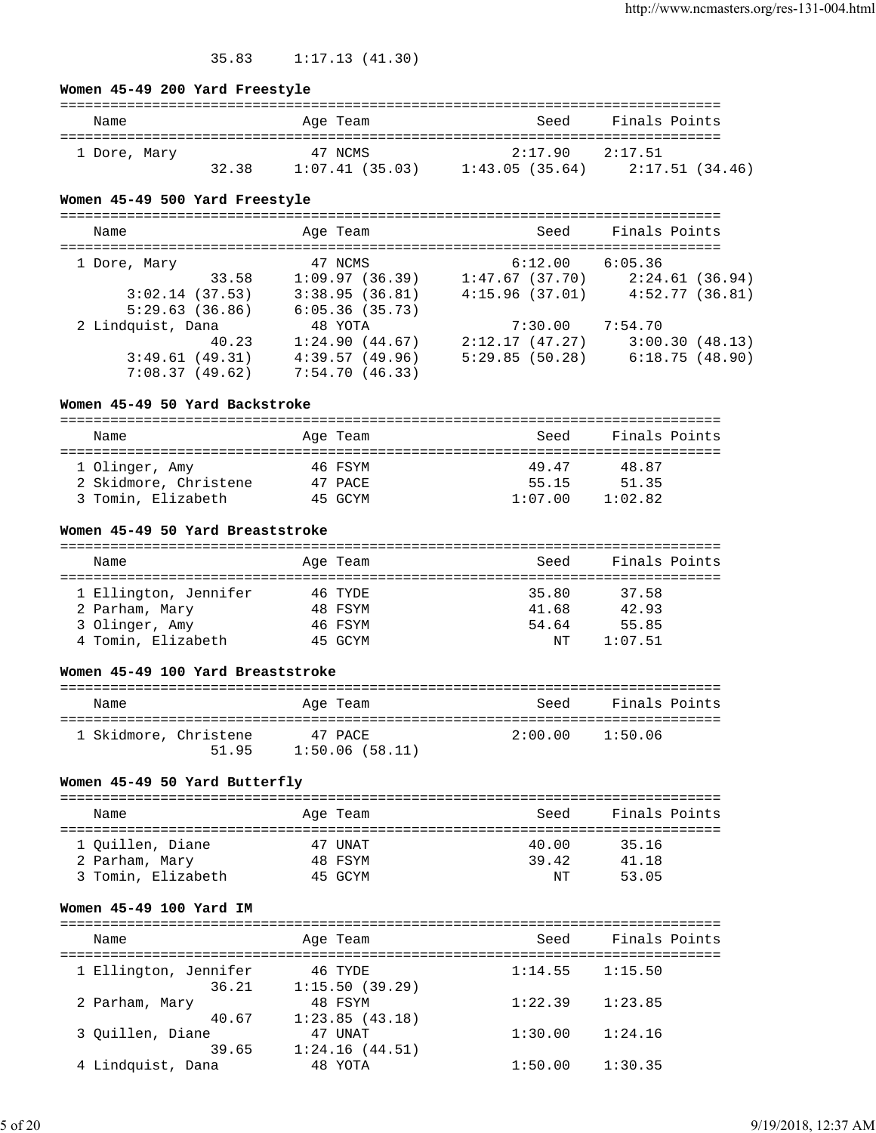# 35.83 1:17.13 (41.30)

## **Women 45-49 200 Yard Freestyle**

| Name         |       | Age Team       | Seed                | Finals Points   |
|--------------|-------|----------------|---------------------|-----------------|
| 1 Dore, Mary |       | 47 NCMS        | $2:17.90$ $2:17.51$ |                 |
|              | 32.38 | 1:07.41(35.03) | 1:43.05(35.64)      | 2:17.51 (34.46) |

# **Women 45-49 500 Yard Freestyle**

| Name              |       | Age Team       |                | Seed    | Finals Points |                 |
|-------------------|-------|----------------|----------------|---------|---------------|-----------------|
| 1 Dore, Mary      |       | 47 NCMS        |                | 6:12.00 | 6:05.36       |                 |
|                   | 33.58 | 1:09.97(36.39) | 1:47.67(37.70) |         |               | 2:24.61 (36.94) |
| 3:02.14(37.53)    |       | 3:38.95(36.81) | 4:15.96(37.01) |         |               | 4:52.77(36.81)  |
| 5:29.63(36.86)    |       | 6:05.36(35.73) |                |         |               |                 |
| 2 Lindquist, Dana |       | 48 YOTA        |                | 7:30.00 | 7:54.70       |                 |
|                   | 40.23 | 1:24.90(44.67) | 2:12.17(47.27) |         |               | 3:00.30(48.13)  |
| 3:49.61(49.31)    |       | 4:39.57(49.96) | 5:29.85(50.28) |         |               | 6:18.75(48.90)  |
| 7:08.37(49.62)    |       | 7:54.70(46.33) |                |         |               |                 |

# **Women 45-49 50 Yard Backstroke**

| Name                  | Age Team | Seed    | Finals Points |
|-----------------------|----------|---------|---------------|
|                       |          |         |               |
| 1 Olinger, Amy        | 46 FSYM  | 49.47   | 48.87         |
| 2 Skidmore, Christene | 47 PACE  | 55.15   | 51.35         |
| 3 Tomin, Elizabeth    | 45 GCYM  | 1:07.00 | 1:02.82       |

# **Women 45-49 50 Yard Breaststroke**

| Name                  | Age Team | Seed  | Finals Points |
|-----------------------|----------|-------|---------------|
|                       |          |       |               |
| 1 Ellington, Jennifer | 46 TYDE  | 35.80 | 37.58         |
| 2 Parham, Mary        | 48 FSYM  | 41.68 | 42.93         |
| 3 Olinger, Amy        | 46 FSYM  | 54.64 | 55.85         |
| 4 Tomin, Elizabeth    | 45 GCYM  | NΤ    | 1:07.51       |

### **Women 45-49 100 Yard Breaststroke**

| Name                  |       | Age Team                  | Seed    | Finals Points |  |
|-----------------------|-------|---------------------------|---------|---------------|--|
| 1 Skidmore, Christene | 51.95 | 47 PACE<br>1:50.06(58.11) | 2:00.00 | 1:50.06       |  |

# **Women 45-49 50 Yard Butterfly**

| Name               | Age Team | Seed  | Finals Points |
|--------------------|----------|-------|---------------|
|                    |          |       |               |
| 1 Ouillen, Diane   | 47 UNAT  | 40.00 | 35.16         |
| 2 Parham, Mary     | 48 FSYM  | 39.42 | 41.18         |
| 3 Tomin, Elizabeth | 45 GCYM  | NΤ    | 53.05         |
|                    |          |       |               |

# **Women 45-49 100 Yard IM**

| Name                           | Age Team                  | Seed    | Finals Points |
|--------------------------------|---------------------------|---------|---------------|
|                                |                           |         |               |
| 1 Ellington, Jennifer<br>36.21 | 46 TYDE<br>1:15.50(39.29) | 1:14.55 | 1:15.50       |
| 2 Parham, Mary                 | 48 FSYM                   | 1:22.39 | 1:23.85       |
| 40.67                          | 1:23.85(43.18)            |         |               |
| 3 Ouillen, Diane               | 47 UNAT                   | 1:30.00 | 1:24.16       |
| 39.65                          | 1:24.16(44.51)            |         |               |
| 4 Lindquist, Dana              | 48 YOTA                   | 1:50.00 | 1:30.35       |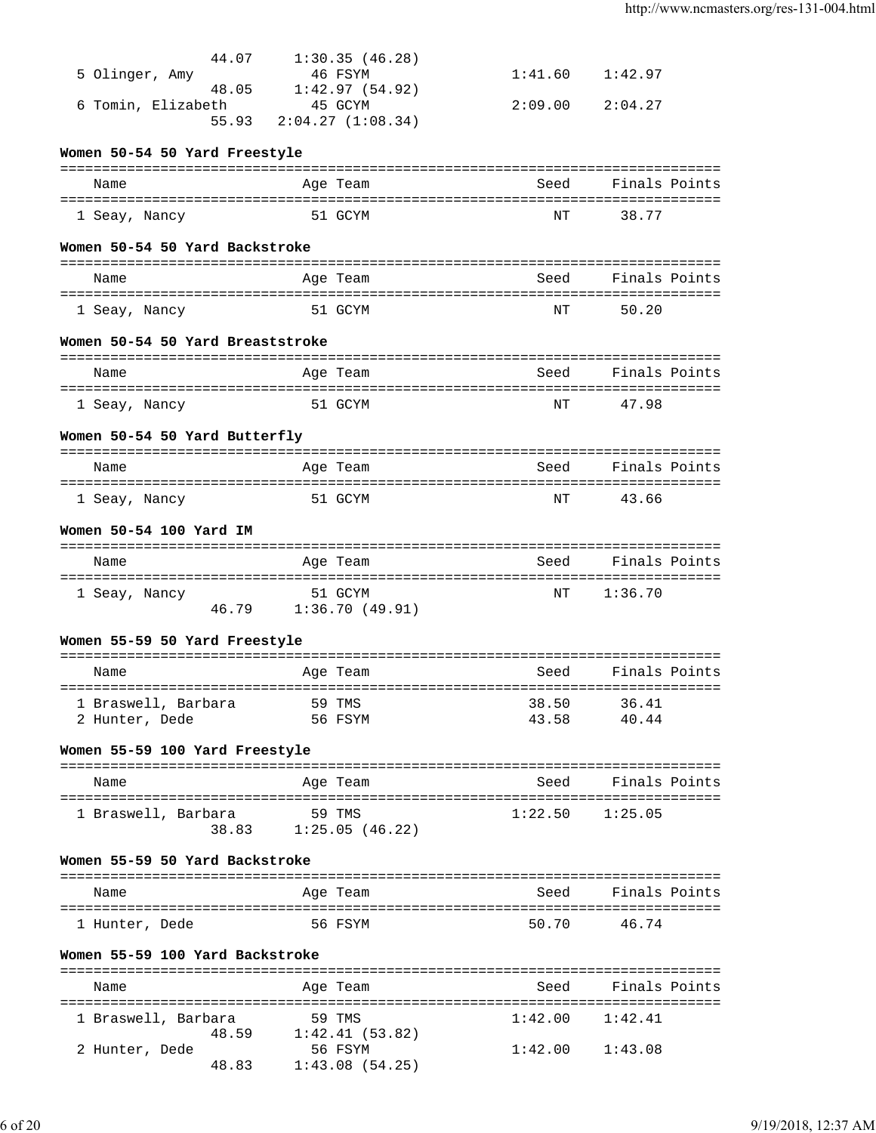| 44.07                            | 1:30.35(46.28)        |                     |                    |
|----------------------------------|-----------------------|---------------------|--------------------|
| 5 Olinger, Amy                   | 46 FSYM               | 1:41.60             | 1:42.97            |
|                                  | 48.05 1:42.97 (54.92) |                     |                    |
| 6 Tomin, Elizabeth               | 45 GCYM               | 2:09.00             | 2:04.27            |
| 55.93                            | 2:04.27(1:08.34)      |                     |                    |
| Women 50-54 50 Yard Freestyle    |                       |                     |                    |
|                                  |                       |                     |                    |
| Name                             | Age Team              | Seed                | Finals Points      |
|                                  |                       |                     |                    |
| 1 Seay, Nancy                    | 51 GCYM               | NΤ                  | 38.77              |
|                                  |                       |                     |                    |
| Women 50-54 50 Yard Backstroke   |                       |                     |                    |
| Name                             | Age Team              | Seed                | Finals Points      |
|                                  |                       |                     |                    |
| 1 Seay, Nancy                    | 51 GCYM               | NΤ                  | 50.20              |
|                                  |                       |                     |                    |
| Women 50-54 50 Yard Breaststroke |                       |                     |                    |
|                                  |                       |                     |                    |
| Name                             | Age Team              | Seed                | Finals Points      |
| 1 Seay, Nancy                    | 51 GCYM               | NΤ                  | 47.98              |
|                                  |                       |                     |                    |
| Women 50-54 50 Yard Butterfly    |                       |                     |                    |
|                                  |                       |                     |                    |
| Name                             | Age Team              | Seed                | Finals Points      |
|                                  |                       |                     |                    |
| 1 Seay, Nancy                    | 51 GCYM               | ΝT                  | 43.66              |
| Women 50-54 100 Yard IM          |                       |                     |                    |
|                                  |                       |                     |                    |
| Name                             | Age Team              | Seed                | Finals Points      |
|                                  |                       |                     |                    |
| 1 Seay, Nancy                    | 51 GCYM               | ΝT                  | 1:36.70            |
|                                  | 46.79 1:36.70 (49.91) |                     |                    |
| Women 55-59 50 Yard Freestyle    |                       |                     |                    |
|                                  |                       |                     |                    |
| Name                             | Age Team              | Seed                | Finals Points      |
|                                  |                       |                     |                    |
| 1 Braswell, Barbara              | 59 TMS                | 38.50               | 36.41              |
| 2 Hunter, Dede                   | 56 FSYM               | 43.58               | 40.44              |
|                                  |                       |                     |                    |
| Women 55-59 100 Yard Freestyle   |                       |                     |                    |
|                                  |                       |                     |                    |
|                                  |                       |                     |                    |
| Name                             | Age Team              | Seed                | Finals Points      |
| 1 Braswell, Barbara              | 59 TMS                | $1:22.50$ $1:25.05$ |                    |
|                                  | 38.83 1:25.05 (46.22) |                     |                    |
|                                  |                       |                     |                    |
| Women 55-59 50 Yard Backstroke   |                       |                     |                    |
|                                  |                       |                     |                    |
| Name                             | Age Team              |                     | Seed Finals Points |
| 1 Hunter, Dede                   | 56 FSYM               | 50.70               | 46.74              |
|                                  |                       |                     |                    |
| Women 55-59 100 Yard Backstroke  |                       |                     |                    |
|                                  |                       |                     |                    |
| Name                             | Age Team              | Seed                | Finals Points      |
| 1 Braswell, Barbara              | 59 TMS                | $1:42.00$ $1:42.41$ |                    |

2 Hunter, Dede 56 FSYM 1:42.00 1:43.08

48.83 1:43.08 (54.25)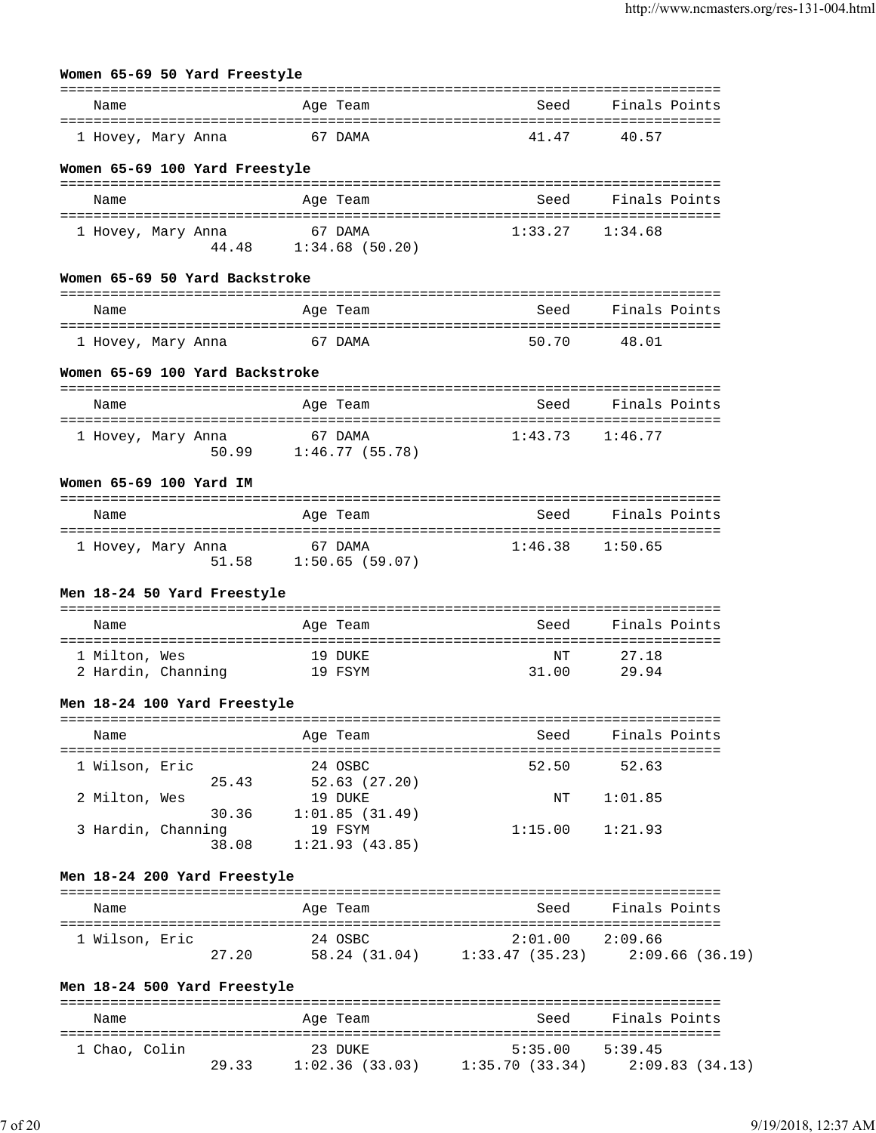| Name                                                       |         | Age Team                                           | Seed        | Finals Points       |               |
|------------------------------------------------------------|---------|----------------------------------------------------|-------------|---------------------|---------------|
| 1 Hovey, Mary Anna                                         |         | 67 DAMA                                            | 41.47       | 40.57               |               |
| Women 65-69 100 Yard Freestyle                             |         |                                                    |             |                     |               |
| Name                                                       |         | Age Team                                           | Seed        | Finals Points       |               |
| 1 Hovey, Mary Anna                                         | 67 DAMA | 44.48 1:34.68 (50.20)                              | 1:33.27     | 1:34.68             |               |
| Women 65-69 50 Yard Backstroke                             |         |                                                    |             |                     |               |
| Name                                                       |         | Age Team                                           | Seed        | Finals Points       |               |
| ====================================<br>1 Hovey, Mary Anna | 67 DAMA |                                                    | 50.70       | -48.01              |               |
| Women 65-69 100 Yard Backstroke                            |         |                                                    |             |                     |               |
| Name                                                       |         | Age Team                                           | Seed        | Finals Points       |               |
| l Hovey, Mary Anna                                         | 67 DAMA | $50.99$ $1:46.77$ (55.78)                          | 1:43.73     | 1:46.77             |               |
| Women 65-69 100 Yard IM                                    |         |                                                    |             |                     |               |
| Name                                                       |         | Age Team                                           | Seed        | Finals Points       |               |
|                                                            |         |                                                    |             |                     |               |
| 1 Hovey, Mary Anna                                         |         | 67 DAMA<br>51.58 1:50.65 (59.07)                   | 1:46.38     | 1:50.65             |               |
| Men 18-24 50 Yard Freestyle                                |         |                                                    |             |                     |               |
| Name                                                       |         | Age Team                                           | Seed        |                     | Finals Points |
| 1 Milton, Wes<br>2 Hardin, Channing 19 FSYM                | 19 DUKE |                                                    | NΤ<br>31.00 | 27.18<br>29.94      |               |
| Men 18-24 100 Yard Freestyle                               |         |                                                    |             |                     |               |
| Name                                                       |         | Age Team                                           |             | Seed Finals Points  |               |
| 1 Wilson, Eric                                             | 24 OSBC |                                                    |             | 52.50 52.63         |               |
| 2 Milton, Wes                                              |         | 25.43 52.63 (27.20)<br>19 DUKE                     |             | NT 1:01.85          |               |
| 3 Hardin, Channing                                         | 19 FSYM | $30.36$ $1:01.85$ (31.49)<br>38.08 1:21.93 (43.85) |             | $1:15.00$ $1:21.93$ |               |
| Men 18-24 200 Yard Freestyle                               |         |                                                    |             |                     |               |
| Name                                                       |         | Age Team                                           |             | Seed Finals Points  |               |

| Name          |       | Age Team       | Seed           | Finals Points  |
|---------------|-------|----------------|----------------|----------------|
| 1 Chao, Colin |       | 23 DUKE        | 5:35.00        | 5:39.45        |
|               | 29.33 | 1:02.36(33.03) | 1:35.70(33.34) | 2:09.83(34.13) |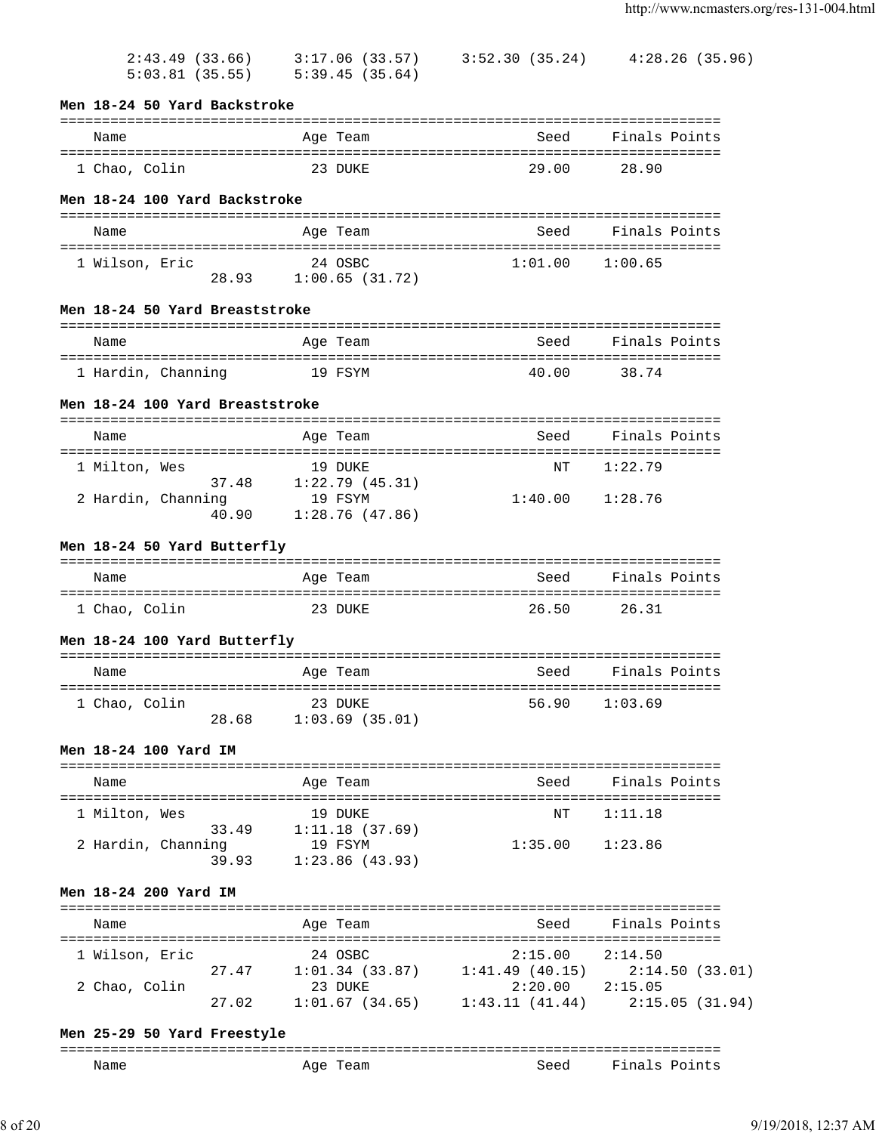| 2:43.49(33.66) | 3:17.06 (33.57) | 3:52.30 (35.24) | 4:28.26 (35.96) |
|----------------|-----------------|-----------------|-----------------|
| 5:03.81(35.55) | 5:39.45 (35.64) |                 |                 |

### **Men 18-24 50 Yard Backstroke**

#### =============================================================================== Name Age Team Seed Finals Points =============================================================================== 1 Chao, Colin 23 DUKE 29.00 28.90

# **Men 18-24 100 Yard Backstroke**

| Name           |       | Age Team                  | Seed    | Finals Points |
|----------------|-------|---------------------------|---------|---------------|
| 1 Wilson, Eric | 28.93 | 24 OSBC<br>1:00.65(31.72) | 1:01.00 | 1:00.65       |

## **Men 18-24 50 Yard Breaststroke**

| Name               | Age Team | Seed  | Finals Points |
|--------------------|----------|-------|---------------|
| 1 Hardin, Channing | 19 FSYM  | 40.00 | 38.74         |

# **Men 18-24 100 Yard Breaststroke**

| Name               |       | Age Team                  | Seed    | Finals Points |
|--------------------|-------|---------------------------|---------|---------------|
| 1 Milton, Wes      | 37.48 | 19 DUKE<br>1:22.79(45.31) | NT      | 1:22.79       |
| 2 Hardin, Channing | 40.90 | 19 FSYM<br>1:28.76(47.86) | 1:40.00 | 1:28.76       |

# **Men 18-24 50 Yard Butterfly**

| Name          | Age Team | Seed  | Finals Points |
|---------------|----------|-------|---------------|
| 1 Chao, Colin | 23 DIJKE | 26.50 | 26.31         |

# **Men 18-24 100 Yard Butterfly**

| Name          |       | Age Team                  | Seed  | Finals Points |
|---------------|-------|---------------------------|-------|---------------|
| 1 Chao, Colin | 28.68 | 23 DUKE<br>1:03.69(35.01) | 56.90 | 1:03.69       |

# **Men 18-24 100 Yard IM**

| Name                        | Age Team                  | Seed    | Finals Points |
|-----------------------------|---------------------------|---------|---------------|
| 1 Milton, Wes<br>33.49      | 19 DUKE<br>1:11.18(37.69) | NT      | 1:11.18       |
| 2 Hardin, Channing<br>39.93 | 19 FSYM<br>1:23.86(43.93) | 1:35.00 | 1:23.86       |

# **Men 18-24 200 Yard IM**

| Name           |       | Age Team       | Seed           | Finals Points |                 |
|----------------|-------|----------------|----------------|---------------|-----------------|
| 1 Wilson, Eric |       | 24 OSBC        | 2:15.00        | 2:14.50       |                 |
|                | 27.47 | 1:01.34(33.87) | 1:41.49(40.15) |               | 2:14.50 (33.01) |
| 2 Chao, Colin  |       | 23 DUKE        | 2:20.00        | 2:15.05       |                 |
|                | 27.02 | 1:01.67(34.65) | 1:43.11(41.44) |               | 2:15.05(31.94)  |

# **Men 25-29 50 Yard Freestyle**

| ---<br>______<br>--------- |             |      |                                                   |
|----------------------------|-------------|------|---------------------------------------------------|
| Name<br>____               | Aqe<br>Team | Seed | Fina<br>'nt.<br>$\overline{\phantom{0}}$<br>∵ ∼ ت |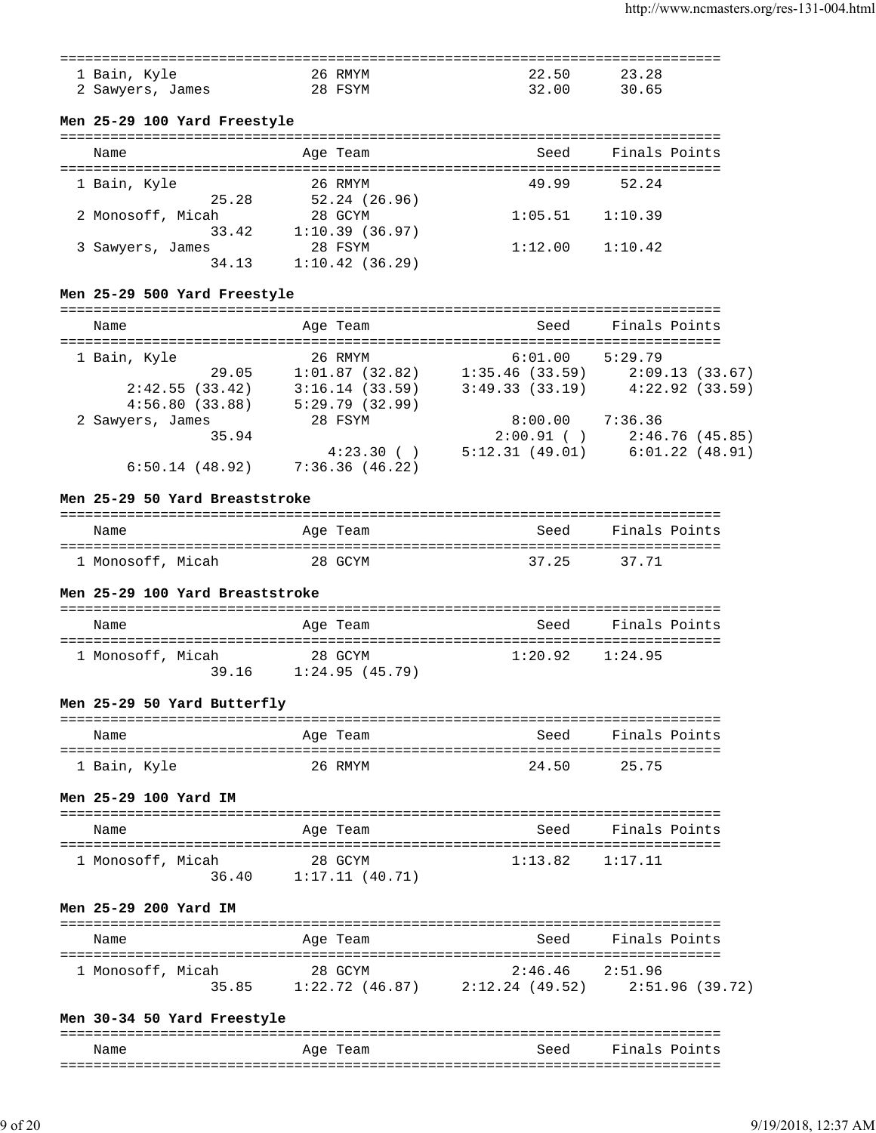| 1 Bain, Kyle     | 26 RMYM | 22.50 | 23.28 |
|------------------|---------|-------|-------|
| James<br>Sawyers | 28 FSYM | 32.00 | 30 65 |

## **Men 25-29 100 Yard Freestyle**

| Name              | Age Team          | Seed    | Finals Points |
|-------------------|-------------------|---------|---------------|
| 1 Bain, Kyle      | 26 RMYM           | 49.99   | 52.24         |
| 25.28             | $52.24$ $(26.96)$ |         |               |
| 2 Monosoff, Micah | 28 GCYM           | 1:05.51 | 1:10.39       |
| 33.42             | 1:10.39(36.97)    |         |               |
| 3 Sawyers, James  | 28 FSYM           | 1:12.00 | 1:10.42       |
| 34.13             | 1:10.42(36.29)    |         |               |

## **Men 25-29 500 Yard Freestyle**

| Name             |       | Age Team       | Seed           | Finals Points       |  |
|------------------|-------|----------------|----------------|---------------------|--|
| 1 Bain, Kyle     |       | 26 RMYM        | 6:01.00        | 5:29.79             |  |
|                  | 29.05 | 1:01.87(32.82) | 1:35.46(33.59) | 2:09.13(33.67)      |  |
| 2:42.55(33.42)   |       | 3:16.14(33.59) | 3:49.33(33.19) | 4:22.92(33.59)      |  |
| 4:56.80(33.88)   |       | 5:29.79(32.99) |                |                     |  |
| 2 Sawyers, James |       | 28 FSYM        | 8:00.00        | 7:36.36             |  |
|                  | 35.94 |                | $2:00.91$ ()   | 2:46.76(45.85)      |  |
|                  |       | 4:23.30()      | 5:12.31(49.01) | $6:01.22$ $(48.91)$ |  |
| 6:50.14(48.92)   |       | 7:36.36(46.22) |                |                     |  |

#### **Men 25-29 50 Yard Breaststroke**

| Name              | Age Team | Seed  | Finals Points |
|-------------------|----------|-------|---------------|
| 1 Monosoff, Micah | 28 GCYM  | 37.25 | 37.71         |

#### **Men 25-29 100 Yard Breaststroke**

| Name              | Age Team                           | Seed    | Finals Points |
|-------------------|------------------------------------|---------|---------------|
| 1 Monosoff, Micah | 28 GCYM<br>39.16<br>1:24.95(45.79) | 1:20.92 | 1:24.95       |

## **Men 25-29 50 Yard Butterfly**

| Name         | Age Team | Seed  | Finals Points |
|--------------|----------|-------|---------------|
| 1 Bain, Kyle | 26 RMYM  | 24.50 | 25 75         |

#### **Men 25-29 100 Yard IM**

| Name                       | Age Team                  | Seed    | Finals Points |
|----------------------------|---------------------------|---------|---------------|
| 1 Monosoff, Micah<br>36.40 | 28 GCYM<br>1:17.11(40.71) | 1:13.82 | 1:17.11       |

# **Men 25-29 200 Yard IM**

| Name              | Age Team          | Seed            | Finals Points   |
|-------------------|-------------------|-----------------|-----------------|
| 1 Monosoff, Micah | 28 GCYM           | 2:46.46 2:51.96 |                 |
| 35.85             | $1:22.72$ (46.87) | 2:12.24 (49.52) | 2:51.96 (39.72) |

## **Men 30-34 50 Yard Freestyle**

| Name | Age<br>Team | Seed | Finals Points |
|------|-------------|------|---------------|
|      |             |      |               |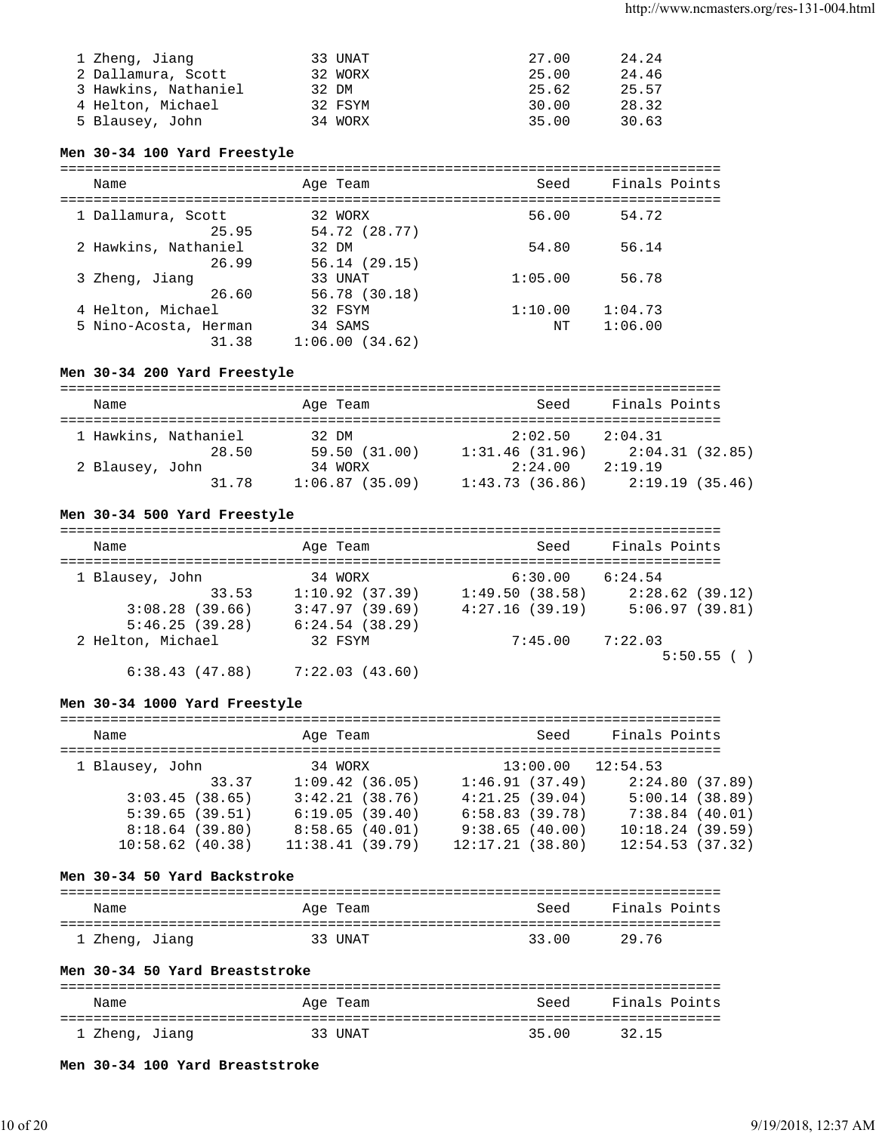| 1 Zheng, Jiang       | 33 UNAT | 27.00 | 24.24 |
|----------------------|---------|-------|-------|
| 2 Dallamura, Scott   | 32 WORX | 25.00 | 24.46 |
| 3 Hawkins, Nathaniel | 32 DM   | 25.62 | 25.57 |
| 4 Helton, Michael    | 32 FSYM | 30.00 | 28.32 |
| 5 Blausey, John      | 34 WORX | 35.00 | 30.63 |

# **Men 30-34 100 Yard Freestyle**

| Name                                                | Age Team                             | Seed          | Finals Points      |
|-----------------------------------------------------|--------------------------------------|---------------|--------------------|
| 1 Dallamura, Scott<br>25.95                         | 32 WORX<br>54.72 (28.77)             | 56.00         | 54.72              |
| 2 Hawkins, Nathaniel<br>26.99                       | 32 DM<br>56.14(29.15)                | 54.80         | 56.14              |
| 3 Zheng, Jiang<br>26.60                             | 33 UNAT<br>56.78 (30.18)             | 1:05.00       | 56.78              |
| 4 Helton, Michael<br>5 Nino-Acosta, Herman<br>31.38 | 32 FSYM<br>34 SAMS<br>1:06.00(34.62) | 1:10.00<br>NΤ | 1:04.73<br>1:06.00 |

## **Men 30-34 200 Yard Freestyle**

| Name                 |       | Age Team       | Seed           | Finals Points   |
|----------------------|-------|----------------|----------------|-----------------|
| 1 Hawkins, Nathaniel |       | 32 DM          | 2:02.50        | 2:04.31         |
|                      | 28.50 | 59.50 (31.00)  | 1:31.46(31.96) | 2:04.31 (32.85) |
| 2 Blausey, John      |       | 34 WORX        | 2:24.00        | 2:19.19         |
|                      | 31.78 | 1:06.87(35.09) | 1:43.73(36.86) | 2:19.19 (35.46) |

## **Men 30-34 500 Yard Freestyle**

| Name              | Age Team       | Seed           | Finals Points  |
|-------------------|----------------|----------------|----------------|
| 1 Blausey, John   | 34 WORX        | 6:30.00        | 6:24.54        |
| 33.53             | 1:10.92(37.39) | 1:49.50(38.58) | 2:28.62(39.12) |
| 3:08.28(39.66)    | 3:47.97(39.69) | 4:27.16(39.19) | 5:06.97(39.81) |
| 5:46.25(39.28)    | 6:24.54(38.29) |                |                |
| 2 Helton, Michael | 32 FSYM        | 7:45.00        | 7:22.03        |
|                   |                |                | 5:50.55()      |

6:38.43 (47.88) 7:22.03 (43.60)

## **Men 30-34 1000 Yard Freestyle**

| Name               |       | Age Team        |                |                 | Seed | Finals Points         |                 |
|--------------------|-------|-----------------|----------------|-----------------|------|-----------------------|-----------------|
| 1 Blausey, John    |       | 34 WORX         |                |                 |      | $13:00.00$ $12:54.53$ |                 |
|                    | 33.37 |                 | 1:09.42(36.05) | 1:46.91(37.49)  |      |                       | 2:24.80(37.89)  |
| 3:03.45(38.65)     |       |                 | 3:42.21(38.76) | 4:21.25(39.04)  |      |                       | 5:00.14(38.89)  |
| 5:39.65(39.51)     |       |                 | 6:19.05(39.40) | 6:58.83(39.78)  |      |                       | 7:38.84(40.01)  |
| 8:18.64(39.80)     |       |                 | 8:58.65(40.01) | 9:38.65(40.00)  |      |                       | 10:18.24(39.59) |
| $10:58.62$ (40.38) |       | 11:38.41(39.79) |                | 12:17.21(38.80) |      |                       | 12:54.53(37.32) |

#### **Men 30-34 50 Yard Backstroke**

| Name           | Age Team | Seed  | Finals Points |
|----------------|----------|-------|---------------|
| 1 Zheng, Jiang | 33 UNAT  | 33.00 | 29.76         |

## **Men 30-34 50 Yard Breaststroke**

| Name           | Age Team | Seed  | Finals Points |
|----------------|----------|-------|---------------|
| 1 Zheng, Jiang | 33 UNAT  | 35.00 | 32.15         |

**Men 30-34 100 Yard Breaststroke**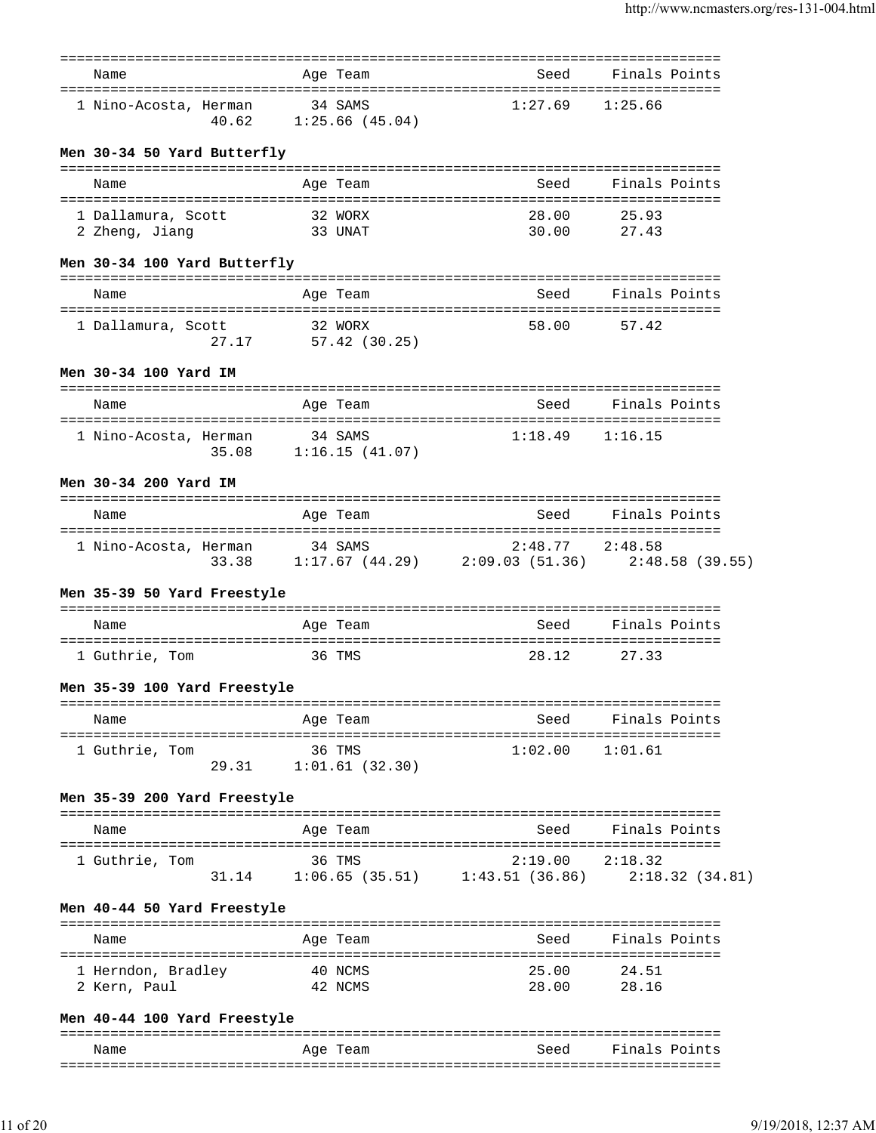| Name                                                    |       |         | Age Team                        | Seed                                                                         | Finals Points                  |  |
|---------------------------------------------------------|-------|---------|---------------------------------|------------------------------------------------------------------------------|--------------------------------|--|
| 1 Nino-Acosta, Herman                                   |       | 34 SAMS | 40.62 1:25.66 (45.04)           | 1:27.69                                                                      | 1:25.66                        |  |
| Men 30-34 50 Yard Butterfly                             |       |         |                                 |                                                                              |                                |  |
| Name                                                    |       |         | Age Team                        | Seed                                                                         | Finals Points                  |  |
|                                                         |       |         |                                 |                                                                              |                                |  |
| 1 Dallamura, Scott<br>2 Zheng, Jiang                    |       |         | 32 WORX<br>33 UNAT              | 28.00<br>30.00                                                               | 25.93<br>27.43                 |  |
| Men 30-34 100 Yard Butterfly                            |       |         |                                 |                                                                              |                                |  |
| Name                                                    |       |         | Age Team                        | Seed                                                                         | Finals Points                  |  |
| 1 Dallamura, Scott                                      |       |         | 32 WORX<br>27.17 57.42 (30.25)  | 58.00                                                                        | 57.42                          |  |
| Men 30-34 100 Yard IM                                   |       |         |                                 |                                                                              |                                |  |
| Name                                                    |       |         | Age Team                        | Seed                                                                         | Finals Points                  |  |
| 1 Nino-Acosta, Herman                                   |       | 34 SAMS | $35.08$ 1:16.15 (41.07)         | $1:18.49$ $1:16.15$                                                          |                                |  |
| Men 30-34 200 Yard IM                                   |       |         |                                 |                                                                              |                                |  |
| Name                                                    |       |         | Age Team                        |                                                                              | Seed Finals Points             |  |
| 1 Nino-Acosta, Herman 34 SAMS                           |       |         |                                 | $2:48.77$ $2:48.58$<br>33.38 1:17.67 (44.29) 2:09.03 (51.36) 2:48.58 (39.55) |                                |  |
| Men 35-39 50 Yard Freestyle                             |       |         |                                 |                                                                              |                                |  |
| Name                                                    |       |         | Age Team                        | Seed                                                                         | Finals Points                  |  |
| 1 Guthrie, Tom                                          |       |         | 36 TMS                          | 28.12                                                                        | 27.33                          |  |
| Men 35-39 100 Yard Freestyle                            |       |         |                                 |                                                                              |                                |  |
| Name                                                    |       |         | Age Team                        | Seed                                                                         | Finals Points                  |  |
| =====================================<br>1 Guthrie, Tom |       |         | 36 TMS<br>29.31 1:01.61 (32.30) | -----------------------<br>1:02.00                                           | ===================<br>1:01.61 |  |
| Men 35-39 200 Yard Freestyle                            |       |         |                                 |                                                                              |                                |  |
| Name                                                    |       |         | Age Team                        | Seed                                                                         | Finals Points                  |  |
| 1 Guthrie, Tom                                          | 31.14 |         | 36 TMS                          | 2:19.00<br>$1:06.65$ (35.51) $1:43.51$ (36.86) $2:18.32$ (34.81)             | 2:18.32                        |  |
| Men 40-44 50 Yard Freestyle                             |       |         |                                 |                                                                              |                                |  |
| Name                                                    |       |         | Age Team                        | Seed                                                                         | Finals Points                  |  |
| 1 Herndon, Bradley<br>2 Kern, Paul                      |       |         | 40 NCMS<br>42 NCMS              | 25.00<br>28.00                                                               | 24.51<br>28.16                 |  |
| Men 40-44 100 Yard Freestyle                            |       |         |                                 |                                                                              |                                |  |
| Name                                                    |       |         | Age Team                        | Seed                                                                         | Finals Points                  |  |
|                                                         |       |         |                                 |                                                                              |                                |  |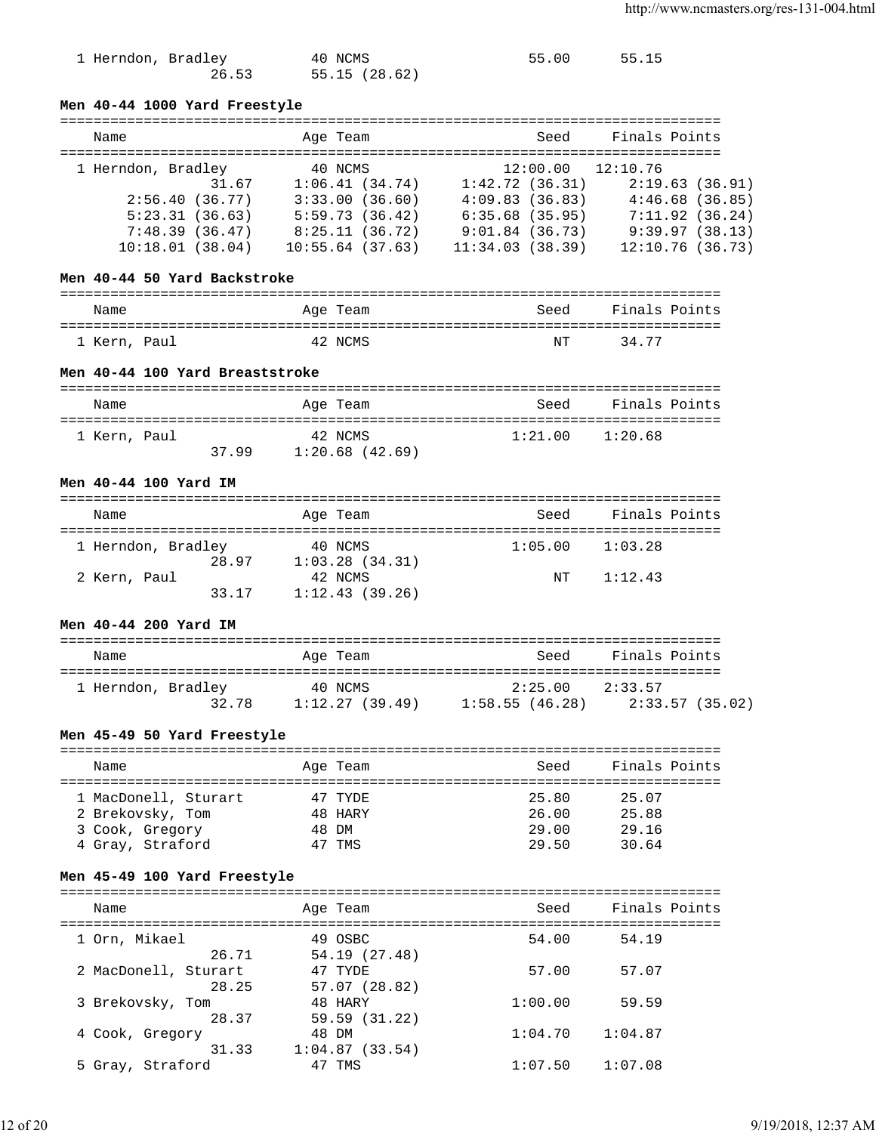| 1 Herndon, Bradley | 40 NCMS       | 55.00 | 55.15 |
|--------------------|---------------|-------|-------|
| 26.53              | 55.15 (28.62) |       |       |

## **Men 40-44 1000 Yard Freestyle**

| Name               |       | Age Team        |                   | Seed | Finals Points         |                 |
|--------------------|-------|-----------------|-------------------|------|-----------------------|-----------------|
| 1 Herndon, Bradley |       | 40 NCMS         |                   |      | $12:00.00$ $12:10.76$ |                 |
|                    | 31.67 | 1:06.41(34.74)  | 1:42.72(36.31)    |      |                       | 2:19.63(36.91)  |
| 2:56.40(36.77)     |       | 3:33.00(36.60)  | 4:09.83(36.83)    |      |                       | 4:46.68(36.85)  |
| 5:23.31(36.63)     |       | 5:59.73(36.42)  | $6:35.68$ (35.95) |      |                       | 7:11.92(36.24)  |
| 7:48.39(36.47)     |       | 8:25.11(36.72)  | 9:01.84(36.73)    |      |                       | 9:39.97(38.13)  |
| 10:18.01(38.04)    |       | 10:55.64(37.63) | 11:34.03(38.39)   |      |                       | 12:10.76(36.73) |

#### **Men 40-44 50 Yard Backstroke**

| Name         |  | Age Team | Seed | Finals Points |
|--------------|--|----------|------|---------------|
| 1 Kern, Paul |  | 42 NCMS  | NΤ   | 34 77         |

### **Men 40-44 100 Yard Breaststroke**

| Name         |      | Age Team                     | Seed    | Finals Points |
|--------------|------|------------------------------|---------|---------------|
| 1 Kern, Paul | 3799 | 42 NCMS<br>$1:20.68$ (42.69) | 1:21.00 | 1:20.68       |

#### **Men 40-44 100 Yard IM**

| Name                  | Age Team                  | Seed    | Finals Points |  |
|-----------------------|---------------------------|---------|---------------|--|
| 1 Herndon, Bradley    | 40 NCMS                   | 1:05.00 | 1:03.28       |  |
| 28.97<br>2 Kern, Paul | 1:03.28(34.31)<br>42 NCMS | NT      | 1:12.43       |  |
| 33.17                 | 1:12.43(39.26)            |         |               |  |

# **Men 40-44 200 Yard IM**

| Name               | Age Team       | Seed            | Finals Points   |
|--------------------|----------------|-----------------|-----------------|
| 1 Herndon, Bradley | 40 NCMS        | 2:25.00 2:33.57 |                 |
| 32.78              | 1:12.27(39.49) | 1:58.55(46.28)  | 2:33.57 (35.02) |

## **Men 45-49 50 Yard Freestyle**

| Name                 | Age Team | Seed  | Finals Points |
|----------------------|----------|-------|---------------|
|                      |          |       |               |
| 1 MacDonell, Sturart | 47 TYDE  | 25.80 | 25.07         |
| 2 Brekovsky, Tom     | 48 HARY  | 26.00 | 25.88         |
| 3 Cook, Gregory      | 48 DM    | 29.00 | 29.16         |
| 4 Gray, Straford     | 47 TMS   | 29.50 | 30.64         |

## **Men 45-49 100 Yard Freestyle**

| Name                          | Age Team                 | Seed    | Finals Points |
|-------------------------------|--------------------------|---------|---------------|
| 1 Orn, Mikael<br>26.71        | 49 OSBC<br>54.19(27.48)  | 54.00   | 54.19         |
| 2 MacDonell, Sturart<br>28.25 | 47 TYDE<br>57.07 (28.82) | 57.00   | 57.07         |
| 3 Brekovsky, Tom<br>28.37     | 48 HARY<br>59.59 (31.22) | 1:00.00 | 59.59         |
| 4 Cook, Gregory<br>31.33      | 48 DM<br>1:04.87(33.54)  | 1:04.70 | 1:04.87       |
| 5 Gray, Straford              | TMS                      | 1:07.50 | 1:07.08       |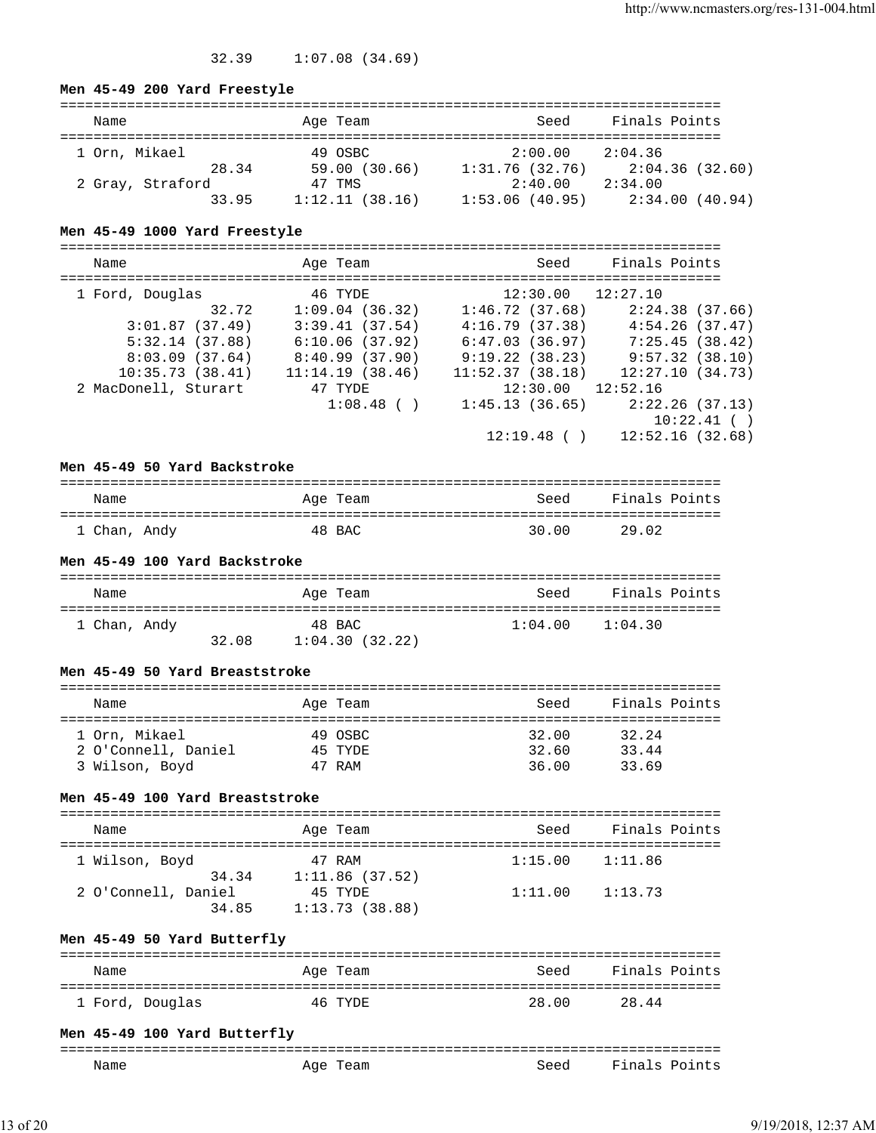# 32.39 1:07.08 (34.69)

## **Men 45-49 200 Yard Freestyle**

| Name             |       | Age Team       |  | Seed           | Finals Points |                |
|------------------|-------|----------------|--|----------------|---------------|----------------|
| 1 Orn, Mikael    |       | 49 OSBC        |  | 2:00.00        | 2:04.36       |                |
|                  | 28.34 | 59.00 (30.66)  |  | 1:31.76(32.76) |               | 2:04.36(32.60) |
| 2 Gray, Straford |       | 47 TMS         |  | 2:40.00        | 2:34.00       |                |
|                  | 33.95 | 1:12.11(38.16) |  | 1:53.06(40.95) |               | 2:34.00(40.94) |

# **Men 45-49 1000 Yard Freestyle**

| Name                 | Age Team        | Seed                  | Finals Points   |
|----------------------|-----------------|-----------------------|-----------------|
| 1 Ford, Douglas      | 46 TYDE         | $12:30.00$ $12:27.10$ |                 |
| 32.72                | 1:09.04(36.32)  | 1:46.72(37.68)        | 2:24.38(37.66)  |
| 3:01.87(37.49)       | 3:39.41(37.54)  | 4:16.79(37.38)        | 4:54.26(37.47)  |
| 5:32.14(37.88)       | 6:10.06(37.92)  | 6:47.03(36.97)        | 7:25.45(38.42)  |
| 8:03.09(37.64)       | 8:40.99(37.90)  | 9:19.22(38.23)        | 9:57.32(38.10)  |
| 10:35.73(38.41)      | 11:14.19(38.46) | 11:52.37(38.18)       | 12:27.10(34.73) |
| 2 MacDonell, Sturart | 47 TYDE         | $12:30.00$ $12:52.16$ |                 |
|                      | $1:08.48$ ( )   | 1:45.13(36.65)        | 2:22.26(37.13)  |
|                      |                 |                       | 10:22.41( )     |
|                      |                 | 12:19.48()            | 12:52.16(32.68) |

## **Men 45-49 50 Yard Backstroke**

| Name         | Age Team | Seed  | Finals Points |
|--------------|----------|-------|---------------|
| 1 Chan, Andy | 48 BAC   | 30.00 | 29.02         |

### **Men 45-49 100 Yard Backstroke**

| Name         |       | Age Team       | Seed    | Finals Points |
|--------------|-------|----------------|---------|---------------|
| 1 Chan, Andy |       | 48 BAC         | 1:04.00 | 1:04.30       |
|              | 32.08 | 1:04.30(32.22) |         |               |

#### **Men 45-49 50 Yard Breaststroke**

| Name                | Age Team | Seed  | Finals Points |
|---------------------|----------|-------|---------------|
|                     |          |       |               |
| 1 Orn, Mikael       | 49 OSBC  | 32.00 | 32.24         |
| 2 O'Connell, Daniel | 45 TYDE  | 32.60 | 33.44         |
| 3 Wilson, Boyd      | 47 RAM   | 36.00 | 33.69         |

# **Men 45-49 100 Yard Breaststroke**

| Name                         | Age Team                  | Seed    | Finals Points |
|------------------------------|---------------------------|---------|---------------|
| 1 Wilson, Boyd<br>34.34      | 47 RAM<br>1:11.86(37.52)  | 1:15.00 | 1:11.86       |
| 2 O'Connell, Daniel<br>34.85 | 45 TYDE<br>1:13.73(38.88) | 1:11.00 | 1:13.73       |

# **Men 45-49 50 Yard Butterfly**

| Name            | Age Team | Seed  | Finals Points |
|-----------------|----------|-------|---------------|
| 1 Ford, Douglas | 46 TYDE  | 28.00 | 28.44         |

# **Men 45-49 100 Yard Butterfly**

| __           |                            | ------------- | -----<br>------                       |
|--------------|----------------------------|---------------|---------------------------------------|
| Name<br>____ | Aqe<br>"eam<br>__<br>_____ | seed<br>.     | Fina.<br>$\overline{ }$<br>'n<br>یہ ب |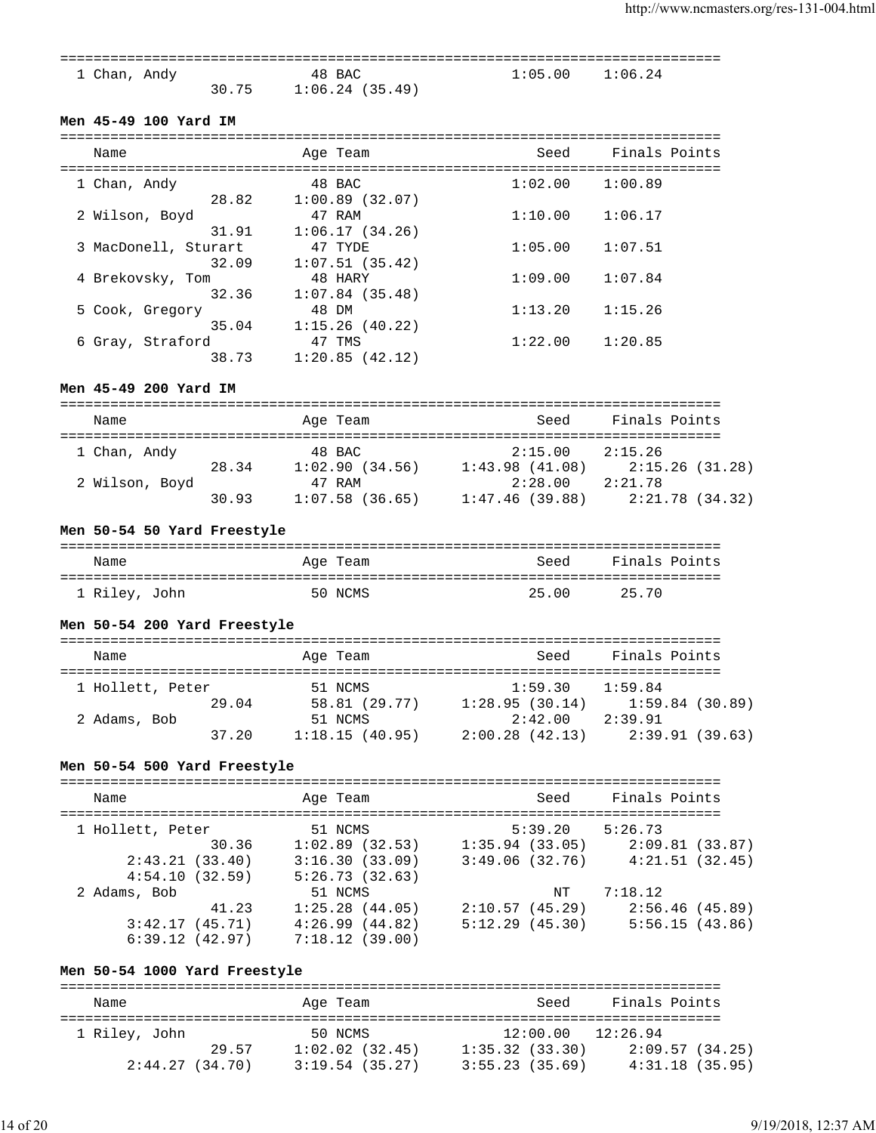| 1 Chan, Andy |       | 48 BAC            | $1:05.00$ $1:06.24$ |  |
|--------------|-------|-------------------|---------------------|--|
|              | 30.75 | $1:06.24$ (35.49) |                     |  |

## **Men 45-49 100 Yard IM**

| Name                          | Age Team                   | Seed    | Finals Points |
|-------------------------------|----------------------------|---------|---------------|
| 1 Chan, Andy<br>28.82         | 48 BAC<br>1:00.89(32.07)   | 1:02.00 | 1:00.89       |
| 2 Wilson, Boyd<br>31.91       | 47 RAM<br>1:06.17(34.26)   | 1:10.00 | 1:06.17       |
| 3 MacDonell, Sturart<br>32.09 | 47 TYDE                    | 1:05.00 | 1:07.51       |
| 4 Brekovsky, Tom              | 1:07.51(35.42)<br>48 HARY  | 1:09.00 | 1:07.84       |
| 32.36<br>5 Cook, Gregory      | $1:07.84$ (35.48)<br>48 DM | 1:13.20 | 1:15.26       |
| 35.04<br>6 Gray, Straford     | 1:15.26(40.22)<br>47 TMS   | 1:22.00 | 1:20.85       |
| 38.73                         | 1:20.85(42.12)             |         |               |

#### **Men 45-49 200 Yard IM**

| Name           |       | Age Team       | Seed           | Finals Points |                 |
|----------------|-------|----------------|----------------|---------------|-----------------|
| 1 Chan, Andy   |       | 48 BAC         | 2:15.00        | 2:15.26       |                 |
|                | 28.34 | 1:02.90(34.56) | 1:43.98(41.08) |               | 2:15.26 (31.28) |
| 2 Wilson, Boyd |       | 47 RAM         | 2:28.00        | 2:21.78       |                 |
|                | 30.93 | 1:07.58(36.65) | 1:47.46(39.88) |               | 2:21.78 (34.32) |

## **Men 50-54 50 Yard Freestyle**

| Name          | Age Team | Seed  | Finals Points |
|---------------|----------|-------|---------------|
| 1 Riley, John | 50 NCMS  | 25.00 | 25.70         |

# **Men 50-54 200 Yard Freestyle**

| Name             |       | Age Team       | Seed           | Finals Points |                 |
|------------------|-------|----------------|----------------|---------------|-----------------|
| 1 Hollett, Peter |       | 51 NCMS        | 1:59.30        | 1:59.84       |                 |
|                  | 29.04 | 58.81 (29.77)  | 1:28.95(30.14) |               | 1:59.84(30.89)  |
| 2 Adams, Bob     |       | 51 NCMS        | 2:42.00        | 2:39.91       |                 |
|                  | 37.20 | 1:18.15(40.95) | 2:00.28(42.13) |               | 2:39.91 (39.63) |

# **Men 50-54 500 Yard Freestyle**

| Name             | Age Team          | Seed           | Finals Points  |
|------------------|-------------------|----------------|----------------|
| 1 Hollett, Peter | 51 NCMS           | 5:39.20        | 5:26.73        |
| 30.36            | $1:02.89$ (32.53) | 1:35.94(33.05) | 2:09.81(33.87) |
| 2:43.21(33.40)   | 3:16.30(33.09)    | 3:49.06(32.76) | 4:21.51(32.45) |
| 4:54.10(32.59)   | 5:26.73(32.63)    |                |                |
| 2 Adams, Bob     | 51 NCMS           | NT             | 7:18.12        |
| 41.23            | 1:25.28(44.05)    | 2:10.57(45.29) | 2:56.46(45.89) |
| 3:42.17(45.71)   | 4:26.99(44.82)    | 5:12.29(45.30) | 5:56.15(43.86) |
| 6:39.12(42.97)   | 7:18.12(39.00)    |                |                |

# **Men 50-54 1000 Yard Freestyle**

| Name           |       | Age Team          | Seed              | Finals Points   |
|----------------|-------|-------------------|-------------------|-----------------|
| 1 Riley, John  |       | 50 NCMS           | 12:00.00 12:26.94 |                 |
|                | 29.57 | $1:02.02$ (32.45) | 1:35.32(33.30)    | 2:09.57(34.25)  |
| 2:44.27(34.70) |       | 3:19.54(35.27)    | 3:55.23(35.69)    | 4:31.18 (35.95) |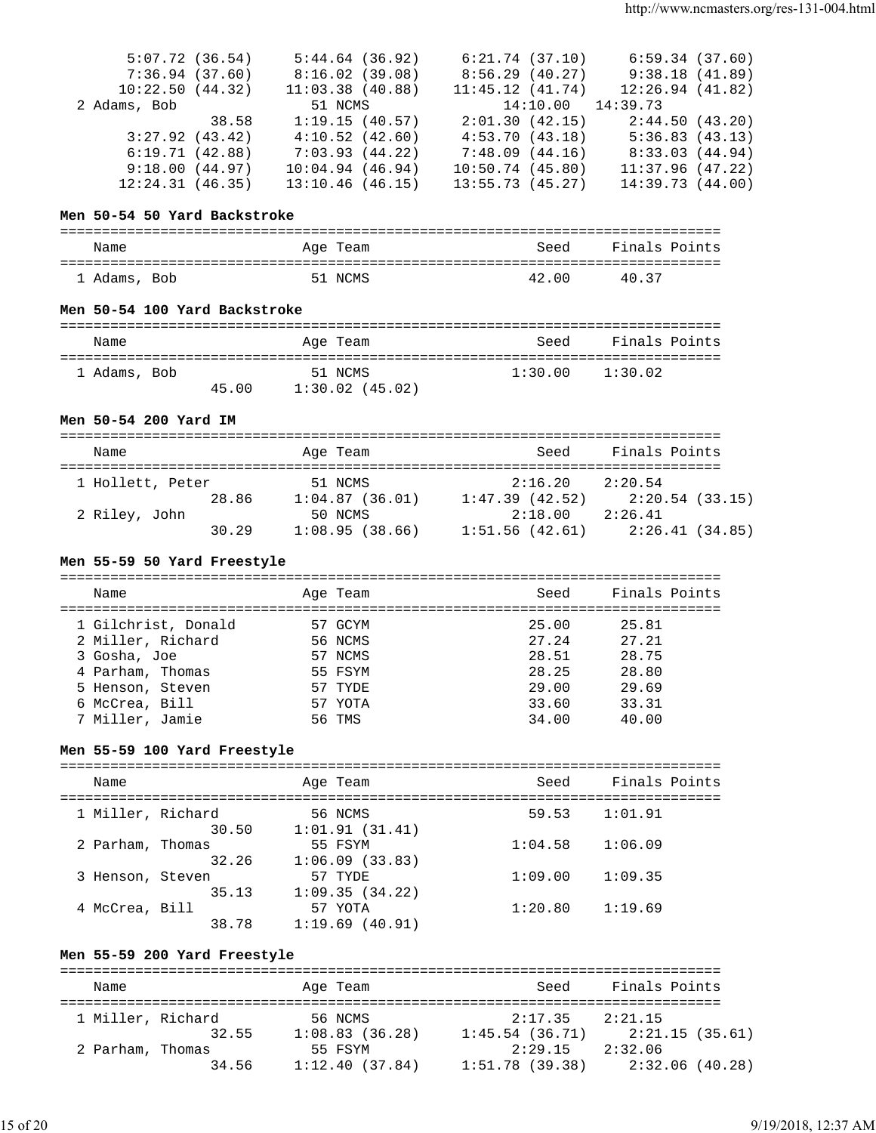| 5:07.72(36.54)  |       | 5:44.64(36.92)  | 6:21.74(37.10)        | 6:59.34(37.60)  |
|-----------------|-------|-----------------|-----------------------|-----------------|
| 7:36.94(37.60)  |       | 8:16.02(39.08)  | 8:56.29(40.27)        | 9:38.18(41.89)  |
| 10:22.50(44.32) |       | 11:03.38(40.88) | 11:45.12(41.74)       | 12:26.94(41.82) |
| 2 Adams, Bob    |       | 51 NCMS         | $14:10.00$ $14:39.73$ |                 |
|                 | 38.58 | 1:19.15(40.57)  | 2:01.30(42.15)        | 2:44.50(43.20)  |
| 3:27.92(43.42)  |       | 4:10.52(42.60)  | 4:53.70(43.18)        | 5:36.83(43.13)  |
| 6:19.71(42.88)  |       | 7:03.93(44.22)  | 7:48.09(44.16)        | 8:33.03(44.94)  |
| 9:18.00(44.97)  |       | 10:04.94(46.94) | 10:50.74(45.80)       | 11:37.96(47.22) |
| 12:24.31(46.35) |       | 13:10.46(46.15) | 13:55.73(45.27)       | 14:39.73(44.00) |

### **Men 50-54 50 Yard Backstroke**

| Name         | Age Team | Seed  | Finals Points |
|--------------|----------|-------|---------------|
| 1 Adams, Bob | 51 NCMS  | 42.00 | 4037          |

## **Men 50-54 100 Yard Backstroke**

| Name         |       | Age Team                  | Seed    | Finals Points |
|--------------|-------|---------------------------|---------|---------------|
| 1 Adams, Bob | 45.00 | 51 NCMS<br>1:30.02(45.02) | 1:30.00 | 1:30.02       |

#### **Men 50-54 200 Yard IM**

| Name             |       | Age Team |                |                | Seed    | Finals Points |                 |
|------------------|-------|----------|----------------|----------------|---------|---------------|-----------------|
| 1 Hollett, Peter |       | 51 NCMS  |                |                | 2:16.20 | 2:20.54       |                 |
|                  | 28.86 |          | 1:04.87(36.01) | 1:47.39(42.52) |         |               | 2:20.54 (33.15) |
| 2 Riley, John    |       | 50 NCMS  |                |                | 2:18.00 | 2:26.41       |                 |
|                  | 30.29 |          | 1:08.95(38.66) | 1:51.56(42.61) |         |               | 2:26.41(34.85)  |

## **Men 55-59 50 Yard Freestyle**

| Name                | Age Team | Seed  | Finals Points |
|---------------------|----------|-------|---------------|
| 1 Gilchrist, Donald | 57 GCYM  | 25.00 | 25.81         |
| 2 Miller, Richard   | 56 NCMS  | 27.24 | 27.21         |
| 3 Gosha, Joe        | 57 NCMS  | 28.51 | 28.75         |
| 4 Parham, Thomas    | 55 FSYM  | 28.25 | 28.80         |
| 5 Henson, Steven    | 57 TYDE  | 29.00 | 29.69         |
| 6 McCrea, Bill      | 57 YOTA  | 33.60 | 33.31         |
| 7 Miller, Jamie     | 56 TMS   | 34.00 | 40.00         |

## **Men 55-59 100 Yard Freestyle**

| Name                       | Age Team                  | Seed    | Finals Points |
|----------------------------|---------------------------|---------|---------------|
| 1 Miller, Richard<br>30.50 | 56 NCMS<br>1:01.91(31.41) | 59.53   | 1:01.91       |
| 2 Parham, Thomas<br>32.26  | 55 FSYM<br>1:06.09(33.83) | 1:04.58 | 1:06.09       |
| 3 Henson, Steven<br>35.13  | 57 TYDE<br>1:09.35(34.22) | 1:09.00 | 1:09.35       |
| 4 McCrea, Bill<br>38.78    | 57 YOTA<br>1:19.69(40.91) | 1:20.80 | 1:19.69       |

## **Men 55-59 200 Yard Freestyle**

| Name              |       | Age Team       | Seed           | Finals Points |                 |
|-------------------|-------|----------------|----------------|---------------|-----------------|
| 1 Miller, Richard |       | 56 NCMS        | 2:17.35        | 2:21.15       |                 |
|                   | 32.55 | 1:08.83(36.28) | 1:45.54(36.71) |               | 2:21.15(35.61)  |
| 2 Parham, Thomas  |       | 55 FSYM        | 2:29.15        | 2:32.06       |                 |
|                   | 34.56 | 1:12.40(37.84) | 1:51.78(39.38) |               | 2:32.06 (40.28) |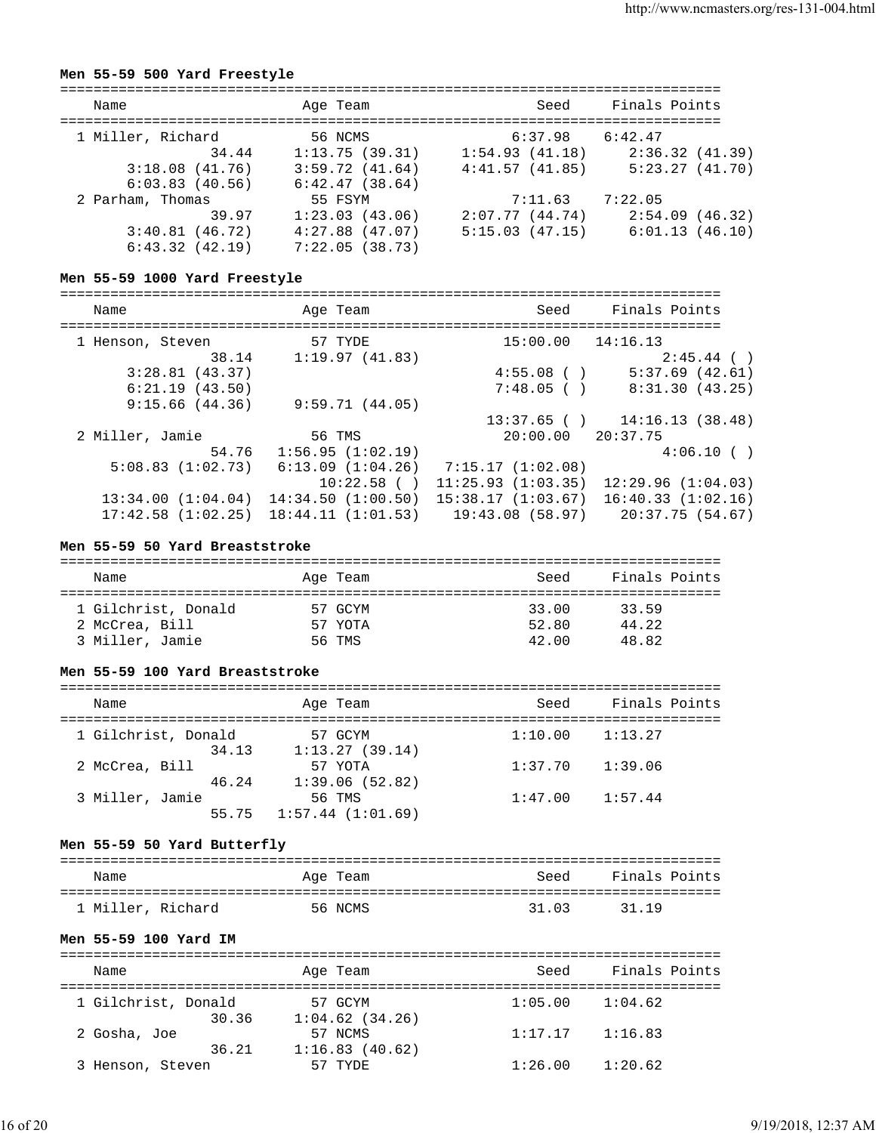# **Men 55-59 500 Yard Freestyle**

| Seed<br>Name<br>Age Team<br>1 Miller, Richard<br>$6:37.98$ $6:42.47$<br>56 NCMS           |                |
|-------------------------------------------------------------------------------------------|----------------|
|                                                                                           | Finals Points  |
|                                                                                           |                |
| 1:54.93(41.18)<br>34.44<br>1:13.75(39.31)                                                 | 2:36.32(41.39) |
| 4:41.57(41.85)<br>3:59.72(41.64)<br>3:18.08(41.76)<br>6:42.47(38.64)<br>6:03.83(40.56)    | 5:23.27(41.70) |
| 2 Parham, Thomas<br>55 FSYM<br>7:22.05<br>7:11.63                                         |                |
| 1:23.03(43.06)<br>2:07.77(44.74)<br>39.97                                                 | 2:54.09(46.32) |
| $4:27.88$ (47.07)<br>5:15.03(47.15)<br>3:40.81(46.72)<br>6:43.32(42.19)<br>7:22.05(38.73) | 6:01.13(46.10) |

## **Men 55-59 1000 Yard Freestyle**

| Name              | Age Team          | Seed                  | Finals Points                     |  |
|-------------------|-------------------|-----------------------|-----------------------------------|--|
| 1 Henson, Steven  | 57 TYDE           | $15:00.00$ $14:16.13$ |                                   |  |
| 38.14             | 1:19.97(41.83)    |                       | $2:45.44$ ()                      |  |
| 3:28.81(43.37)    |                   | $4:55.08$ ( )         | 5:37.69(42.61)                    |  |
| 6:21.19(43.50)    |                   | 7:48.05( )            | 8:31.30(43.25)                    |  |
| 9:15.66(44.36)    | 9:59.71(44.05)    |                       |                                   |  |
|                   |                   |                       | $13:37.65$ ( ) $14:16.13$ (38.48) |  |
| 2 Miller, Jamie   | 56 TMS            | $20:00.00$ $20:37.75$ |                                   |  |
| 54.76             | 1:56.95(1:02.19)  |                       | 4:06.10(                          |  |
| 5:08.83(1:02.73)  | 6:13.09(1:04.26)  | 7:15.17 (1:02.08)     |                                   |  |
|                   | 10:22.58()        | 11:25.93(1:03.35)     | 12:29.96(1:04.03)                 |  |
| 13:34.00(1:04.04) | 14:34.50(1:00.50) | 15:38.17(1:03.67)     | 16:40.33(1:02.16)                 |  |
| 17:42.58(1:02.25) | 18:44.11(1:01.53) | 19:43.08(58.97)       | 20:37.75 (54.67)                  |  |

## **Men 55-59 50 Yard Breaststroke**

| Name                | Age Team | Seed  | Finals Points |
|---------------------|----------|-------|---------------|
| 1 Gilchrist, Donald | 57 GCYM  | 33.00 | 33.59         |
| 2 McCrea, Bill      | 57 YOTA  | 52.80 | 44.22         |
| 3 Miller, Jamie     | 56 TMS   | 42.00 | 48.82         |

#### **Men 55-59 100 Yard Breaststroke**

| Name                | Age Team         | Seed    | Finals Points |
|---------------------|------------------|---------|---------------|
| 1 Gilchrist, Donald | 57 GCYM          | 1:10.00 | 1:13.27       |
| 34.13               | 1:13.27(39.14)   |         |               |
| 2 McCrea, Bill      | 57 YOTA          | 1:37.70 | 1:39.06       |
| 46.24               | 1:39.06(52.82)   |         |               |
| 3 Miller, Jamie     | 56 TMS           | 1:47.00 | 1:57.44       |
| 55.75               | 1:57.44(1:01.69) |         |               |

## **Men 55-59 50 Yard Butterfly**

| Name              | Age Team | Seed  | Finals Points |
|-------------------|----------|-------|---------------|
| 1 Miller, Richard | 56 NCMS  | 31.03 | 31 19         |

#### **Men 55-59 100 Yard IM**

| Name                | Age Team       | Seed    | Finals Points |
|---------------------|----------------|---------|---------------|
| 1 Gilchrist, Donald | 57 GCYM        | 1:05.00 | 1:04.62       |
| 30.36               | 1:04.62(34.26) |         |               |
| 2 Gosha, Joe        | 57 NCMS        | 1:17.17 | 1:16.83       |
| 36.21               | 1:16.83(40.62) |         |               |
| 3 Henson, Steven    | 57 TYDE        | 1:26.00 | 1:20.62       |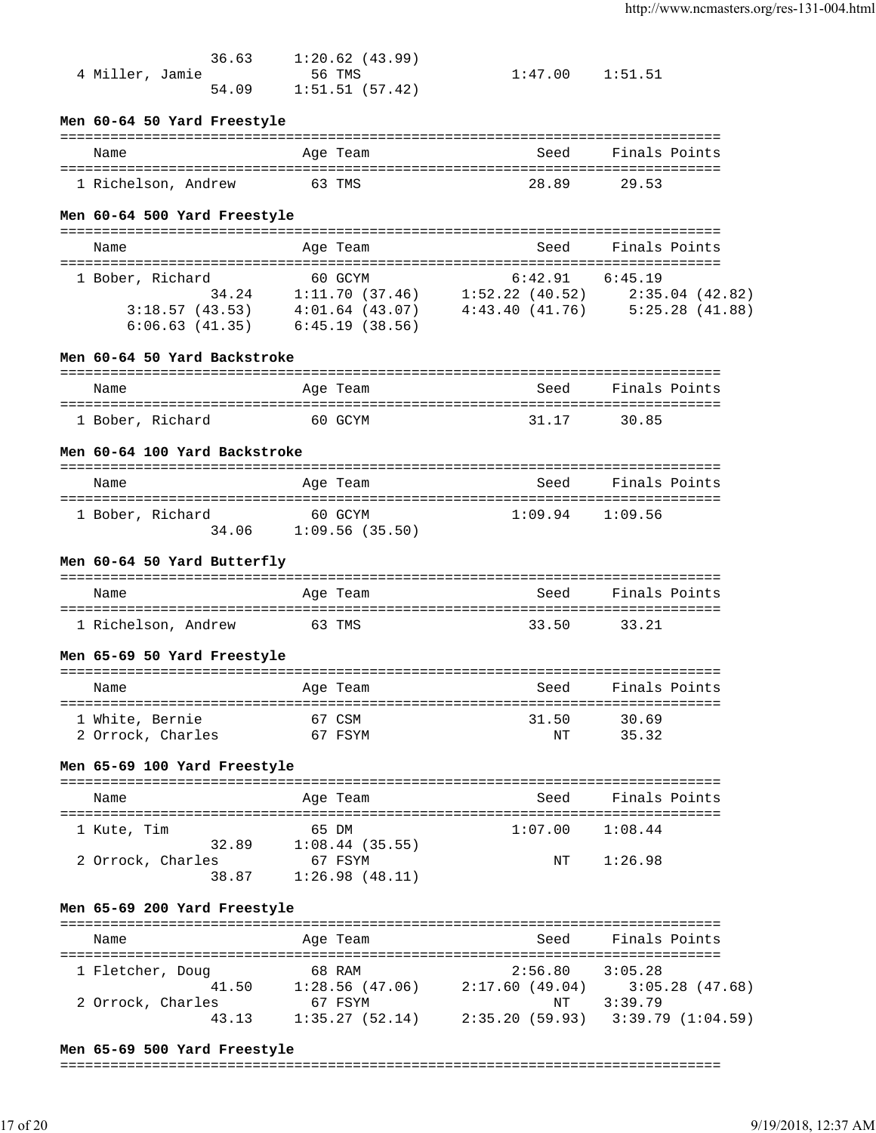| 36.63           | 1:20.62 (43.99) |                     |  |
|-----------------|-----------------|---------------------|--|
| 4 Miller, Jamie | 56 TMS          | $1:47.00$ $1:51.51$ |  |
| 54.09           | 1:51.51(57.42)  |                     |  |

### **Men 60-64 50 Yard Freestyle**

| Name                | Age Team | Seed  | Finals Points |
|---------------------|----------|-------|---------------|
| 1 Richelson, Andrew | 63 TMS   | 28.89 | 29.53         |

#### **Men 60-64 500 Yard Freestyle**

| Name             | Age Team            | Seed           | Finals Points  |
|------------------|---------------------|----------------|----------------|
| 1 Bober, Richard | 60 GCYM             | 6:42.91        | 6:45.19        |
| 34.24            | 1:11.70(37.46)      | 1:52.22(40.52) | 2:35.04(42.82) |
| 3:18.57(43.53)   | $4:01.64$ $(43.07)$ | 4:43.40(41.76) | 5:25.28(41.88) |
| 6:06.63(41.35)   | 6:45.19(38.56)      |                |                |

### **Men 60-64 50 Yard Backstroke**

| Name             | Age Team | Seed  | Finals Points |
|------------------|----------|-------|---------------|
| 1 Bober, Richard | 60 GCYM  | 31.17 | 30.85         |

#### **Men 60-64 100 Yard Backstroke**

| Name             |       | Age Team                  | Seed | Finals Points       |
|------------------|-------|---------------------------|------|---------------------|
| 1 Bober, Richard | 34.06 | 60 GCYM<br>1:09.56(35.50) |      | $1:09.94$ $1:09.56$ |

#### **Men 60-64 50 Yard Butterfly**

| Name                | Age Team | Seed  | Finals Points |
|---------------------|----------|-------|---------------|
| 1 Richelson, Andrew | 63 TMS   | 33.50 | 33.21         |

#### **Men 65-69 50 Yard Freestyle**

| Name              | Age Team | Seed  | Finals Points |
|-------------------|----------|-------|---------------|
| 1 White, Bernie   | 67 CSM   | 31.50 | 30.69         |
| 2 Orrock, Charles | 67 FSYM  | NΤ    | 35.32         |

#### **Men 65-69 100 Yard Freestyle**

| Name              | Age Team       | Seed    | Finals Points |
|-------------------|----------------|---------|---------------|
|                   |                |         |               |
| 1 Kute, Tim       | 65 DM          | 1:07.00 | 1:08.44       |
| 32.89             | 1:08.44(35.55) |         |               |
| 2 Orrock, Charles | 67 FSYM        | NT      | 1:26.98       |
| 38.87             | 1:26.98(48.11) |         |               |

# **Men 65-69 200 Yard Freestyle**

| Name              | Age Team       | Seed           | Finals Points     |
|-------------------|----------------|----------------|-------------------|
| 1 Fletcher, Doug  | 68 RAM         | 2:56.80        | 3:05.28           |
| 41.50             | 1:28.56(47.06) | 2:17.60(49.04) | $3:05.28$ (47.68) |
| 2 Orrock, Charles | 67 FSYM        | NΤ             | 3:39.79           |
| 43.13             | 1:35.27(52.14) | 2:35.20(59.93) | 3:39.79(1:04.59)  |

#### **Men 65-69 500 Yard Freestyle**

#### ===============================================================================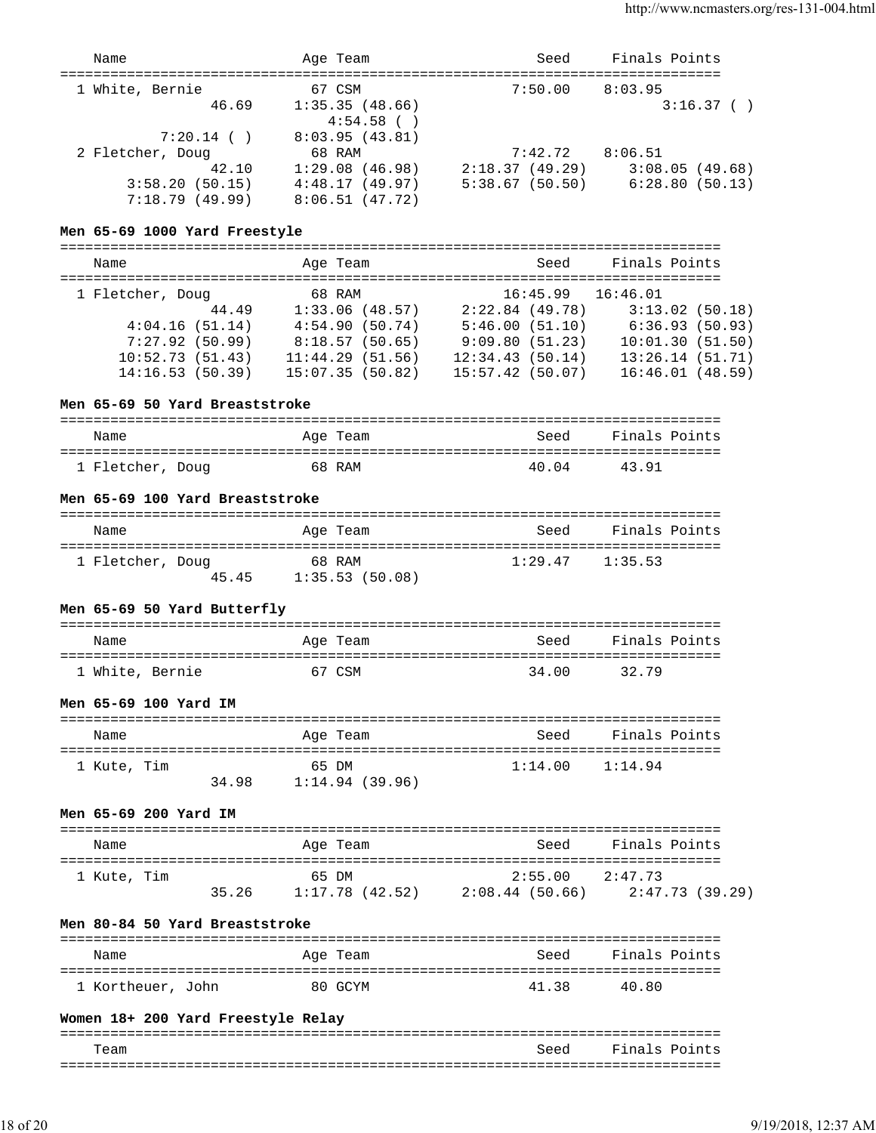| Name                                              | Age Team                       | Seed                   | Finals Points                       |
|---------------------------------------------------|--------------------------------|------------------------|-------------------------------------|
| ==============================<br>1 White, Bernie | 67 CSM                         | $7:50.00$ 8:03.95      |                                     |
| 46.69                                             | 1:35.35(48.66)<br>$4:54.58$ () |                        | 3:16.37()                           |
| $7:20.14$ ()                                      | 8:03.95(43.81)                 |                        |                                     |
| 2 Fletcher, Doug                                  | 68 RAM                         | $7:42.72$ $8:06.51$    |                                     |
| 42.10                                             | 1:29.08(46.98)                 |                        | $2:18.37(49.29)$ $3:08.05(49.68)$   |
| 3:58.20(50.15)                                    | 4:48.17(49.97)                 |                        | $5:38.67$ (50.50) $6:28.80$ (50.13) |
| 7:18.79(49.99)                                    | 8:06.51(47.72)                 |                        |                                     |
| Men 65-69 1000 Yard Freestyle                     |                                |                        |                                     |
| Name                                              | Age Team                       | Seed                   | Finals Points                       |
|                                                   |                                | $16.15 \times 10^{-1}$ |                                     |

| 1 Fletcher, Doug |       | 68 RAM          |                 | 16:45.99       | 16:46.01        |  |
|------------------|-------|-----------------|-----------------|----------------|-----------------|--|
|                  | 44.49 | 1:33.06(48.57)  |                 | 2:22.84(49.78) | 3:13.02(50.18)  |  |
| 4:04.16(51.14)   |       | 4:54.90(50.74)  |                 | 5:46.00(51.10) | 6:36.93(50.93)  |  |
| 7:27.92(50.99)   |       | 8:18.57(50.65)  |                 | 9:09.80(51.23) | 10:01.30(51.50) |  |
| 10:52.73(51.43)  |       | 11:44.29(51.56) | 12:34.43(50.14) |                | 13:26.14(51.71) |  |
| 14:16.53(50.39)  |       | 15:07.35(50.82) | 15:57.42(50.07) |                | 16:46.01(48.59) |  |

#### **Men 65-69 50 Yard Breaststroke**

| Name             | Age Team | Seed  | Finals Points |
|------------------|----------|-------|---------------|
| 1 Fletcher, Doug | 68 RAM   | 40.04 | 43.91         |

### **Men 65-69 100 Yard Breaststroke**

| Name                      | Age Team                 | Seed                | Finals Points |
|---------------------------|--------------------------|---------------------|---------------|
| 1 Fletcher, Doug<br>45.45 | 68 RAM<br>1:35.53(50.08) | $1:29.47$ $1:35.53$ |               |

## **Men 65-69 50 Yard Butterfly**

| Name            | Age Team | Seed    | Finals Points |
|-----------------|----------|---------|---------------|
| 1 White, Bernie | 67 CSM   | 34 O.O. | 32.79         |

#### **Men 65-69 100 Yard IM**

| Name        |       | Age Team       | Seed    | Finals Points |
|-------------|-------|----------------|---------|---------------|
| 1 Kute, Tim |       | 65 DM          | 1:14.00 | 1:14.94       |
|             | 34 98 | 1:14.94(39.96) |         |               |

## **Men 65-69 200 Yard IM**

| Name        |       | Age Team       | Seed                | Finals Points   |
|-------------|-------|----------------|---------------------|-----------------|
| 1 Kute, Tim |       | 65 DM          | $2:55.00$ $2:47.73$ |                 |
|             | 35.26 | 1:17.78(42.52) | 2:08.44 (50.66)     | 2:47.73 (39.29) |

### **Men 80-84 50 Yard Breaststroke**

| Name              | Age Team | Seed  | Finals Points |
|-------------------|----------|-------|---------------|
| 1 Kortheuer, John | 80 GCYM  | 41.38 | 40.80         |

#### **Women 18+ 200 Yard Freestyle Relay**

| Team | Seed | Finals Points |
|------|------|---------------|
|      |      |               |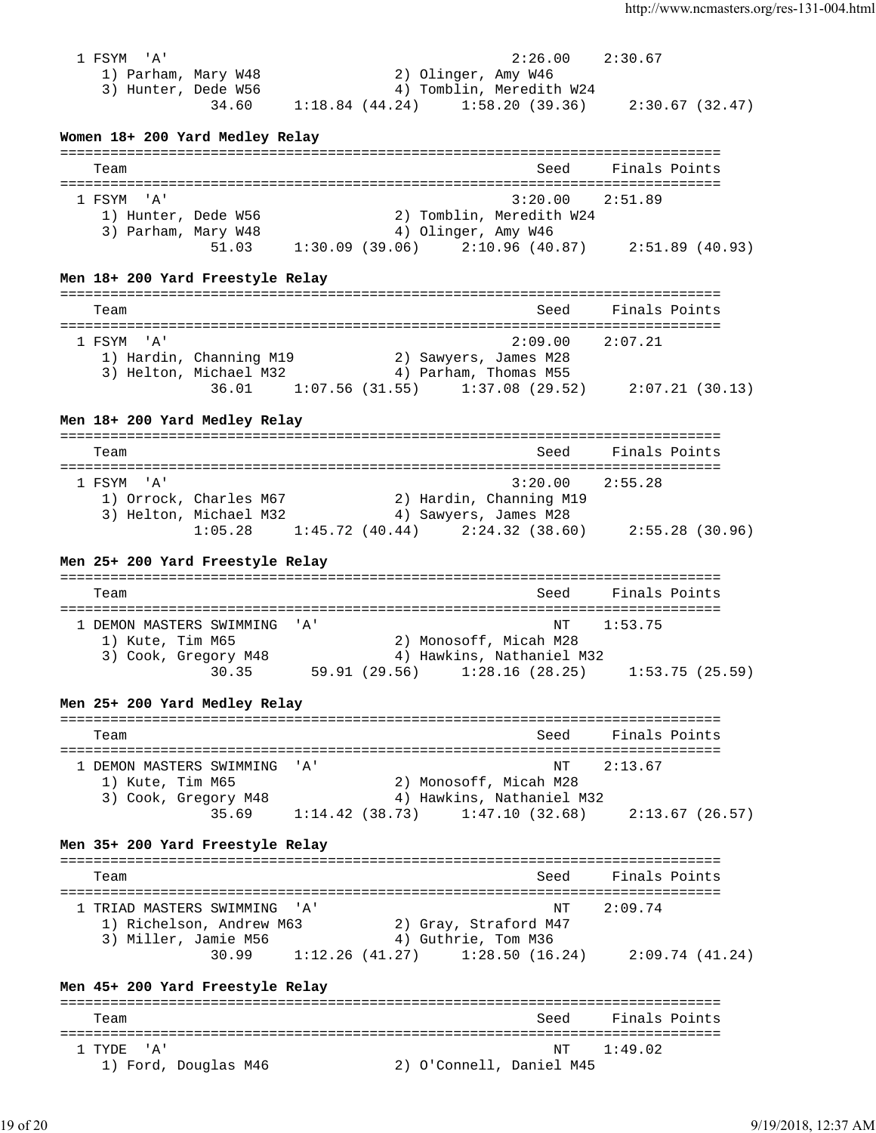1 FSYM 'A' 2:26.00 2:30.67 1) Parham, Mary W48 2) Olinger, Amy W46 3) Hunter, Dede W56 4) Tomblin, Meredith W24 34.60 1:18.84 (44.24) 1:58.20 (39.36) 2:30.67 (32.47) **Women 18+ 200 Yard Medley Relay** =============================================================================== Team Seed Finals Points =============================================================================== 1 FSYM 'A' 3:20.00 2:51.89 1) Hunter, Dede W56 2) Tomblin, Meredith W24 3) Parham, Mary W48 4) Olinger, Amy W46 51.03 1:30.09 (39.06) 2:10.96 (40.87) 2:51.89 (40.93) **Men 18+ 200 Yard Freestyle Relay** =============================================================================== Team Seed Finals Points =============================================================================== 1 FSYM 'A' 2:09.00 2:07.21 1) Hardin, Channing M19 2) Sawyers, James M28 3) Helton, Michael M32 4) Parham, Thomas M55 36.01 1:07.56 (31.55) 1:37.08 (29.52) 2:07.21 (30.13) **Men 18+ 200 Yard Medley Relay** =============================================================================== Team Seed Finals Points =============================================================================== 1 FSYM 'A' 3:20.00 2:55.28 1) Orrock, Charles M67 2) Hardin, Channing M19 3) Helton, Michael M32 4) Sawyers, James M28 1:05.28 1:45.72 (40.44) 2:24.32 (38.60) 2:55.28 (30.96) **Men 25+ 200 Yard Freestyle Relay** =============================================================================== Team Seed Finals Points =============================================================================== 1 DEMON MASTERS SWIMMING 'A' 1) Kute, Tim M65 2) Monosoff, Micah M28 3) Cook, Gregory M48 4) Hawkins, Nathaniel M32 30.35 59.91 (29.56) 1:28.16 (28.25) 1:53.75 (25.59) **Men 25+ 200 Yard Medley Relay** =============================================================================== Team Seed Finals Points =============================================================================== 1 DEMON MASTERS SWIMMING 'A' NT 2:13.67 1) Kute, Tim M65 2) Monosoff, Micah M28 3) Cook, Gregory M48 4) Hawkins, Nathaniel M32 35.69 1:14.42 (38.73) 1:47.10 (32.68) 2:13.67 (26.57) **Men 35+ 200 Yard Freestyle Relay** =============================================================================== Team Seed Finals Points =============================================================================== 1 TRIAD MASTERS SWIMMING 'A' NE SAN SANT 2:09.74 1) Richelson, Andrew M63 2) Gray, Straford M47 3) Miller, Jamie M56 4) Guthrie, Tom M36 30.99 1:12.26 (41.27) 1:28.50 (16.24) 2:09.74 (41.24) **Men 45+ 200 Yard Freestyle Relay** =============================================================================== Team Seed Finals Points =============================================================================== NT 1:49.02 1) Ford, Douglas M46 2) O'Connell, Daniel M45